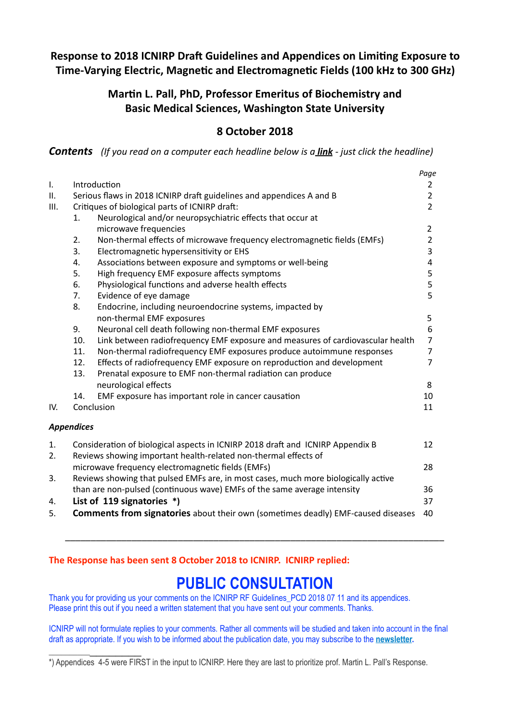## **Response to 2018 ICNIRP Draft Guidelines and Appendices on Limiting Exposure to Time-Varying Electric, Magnetic and Electromagnetic Fields (100 kHz to 300 GHz)**

## Martin L. Pall, PhD, Professor Emeritus of Biochemistry and **Basic Medical Sciences, Washington State University**

### **8 October 2018**

**Contents** (If you read on a computer each headline below is a **link** - just click the headline)

|      |                                                                                    |                                                                                | Page           |
|------|------------------------------------------------------------------------------------|--------------------------------------------------------------------------------|----------------|
| I.   | Introduction                                                                       |                                                                                | 2              |
| II.  |                                                                                    | Serious flaws in 2018 ICNIRP draft guidelines and appendices A and B           | $\overline{2}$ |
| III. | Critiques of biological parts of ICNIRP draft:                                     |                                                                                | $\overline{2}$ |
|      | 1.                                                                                 | Neurological and/or neuropsychiatric effects that occur at                     |                |
|      |                                                                                    | microwave frequencies                                                          | $\overline{2}$ |
|      | 2.                                                                                 | Non-thermal effects of microwave frequency electromagnetic fields (EMFs)       | $\overline{2}$ |
|      | 3.                                                                                 | Electromagnetic hypersensitivity or EHS                                        | 3              |
|      | 4.                                                                                 | Associations between exposure and symptoms or well-being                       | 4              |
|      | 5.                                                                                 | High frequency EMF exposure affects symptoms                                   | 5              |
|      | 6.                                                                                 | Physiological functions and adverse health effects                             | 5              |
|      | 7.                                                                                 | Evidence of eye damage                                                         | 5              |
|      | 8.                                                                                 | Endocrine, including neuroendocrine systems, impacted by                       |                |
|      |                                                                                    | non-thermal EMF exposures                                                      | 5              |
|      | 9.                                                                                 | Neuronal cell death following non-thermal EMF exposures                        | 6              |
|      | 10.                                                                                | Link between radiofrequency EMF exposure and measures of cardiovascular health | $\overline{7}$ |
|      | 11.                                                                                | Non-thermal radiofrequency EMF exposures produce autoimmune responses          | 7              |
|      | 12.                                                                                | Effects of radiofrequency EMF exposure on reproduction and development         | $\overline{7}$ |
|      | 13.                                                                                | Prenatal exposure to EMF non-thermal radiation can produce                     |                |
|      |                                                                                    | neurological effects                                                           | 8              |
|      | 14.                                                                                | EMF exposure has important role in cancer causation                            | 10             |
| IV.  |                                                                                    | Conclusion                                                                     | 11             |
|      |                                                                                    |                                                                                |                |
|      | <b>Appendices</b>                                                                  |                                                                                |                |
| 1.   |                                                                                    | Consideration of biological aspects in ICNIRP 2018 draft and ICNIRP Appendix B | 12             |
| 2.   |                                                                                    | Reviews showing important health-related non-thermal effects of                |                |
|      |                                                                                    | microwave frequency electromagnetic fields (EMFs)                              | 28             |
| 3.   | Reviews showing that pulsed EMFs are, in most cases, much more biologically active |                                                                                |                |
|      | than are non-pulsed (continuous wave) EMFs of the same average intensity           |                                                                                | 36             |
| 4.   |                                                                                    | List of 119 signatories *)                                                     | 37             |
|      |                                                                                    |                                                                                |                |

5. **Comments from signatories** about their own (sometimes deadly) EMF-caused diseases 40

### The Response has been sent 8 October 2018 to ICNIRP. ICNIRP replied:

 $\frac{1}{2}$  ,  $\frac{1}{2}$  ,  $\frac{1}{2}$  ,  $\frac{1}{2}$  ,  $\frac{1}{2}$  ,  $\frac{1}{2}$  ,  $\frac{1}{2}$  ,  $\frac{1}{2}$  ,  $\frac{1}{2}$ 

# **PUBLIC CONSULTATION**

\_\_\_\_\_\_\_\_\_\_\_\_\_\_\_\_\_\_\_\_\_\_\_\_\_\_\_\_\_\_\_\_\_\_\_\_\_\_\_\_\_\_\_\_\_\_\_\_\_\_\_\_\_\_\_\_\_\_\_\_\_\_\_\_\_\_\_\_\_\_\_\_\_\_ 

Thank you for providing us your comments on the ICNIRP RF Guidelines PCD 2018 07 11 and its appendices. Please print this out if you need a written statement that you have sent out your comments. Thanks.

ICNIRP will not formulate replies to your comments. Rather all comments will be studied and taken into account in the final draft as appropriate. If you wish to be informed about the publication date, you may subscribe to the **[newsletter.](https://www.icnirp.org/en/contact/newsletter/index.html)**

<sup>\*)</sup> Appendices 4-5 were FIRST in the input to ICNIRP. Here they are last to prioritize prof. Martin L. Pall's Response.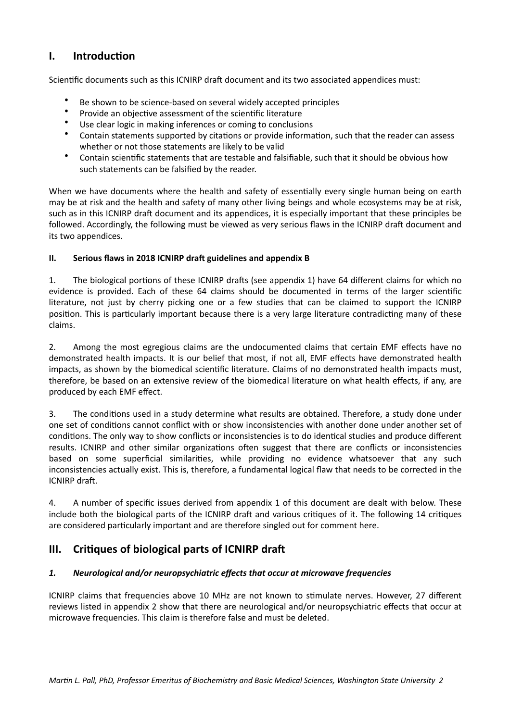## <span id="page-1-0"></span>**I.** Introduction

Scientific documents such as this ICNIRP draft document and its two associated appendices must:

- Be shown to be science-based on several widely accepted principles
- Provide an objective assessment of the scientific literature<br>• Hee clear logic in making informate as coming to conclusion
- Use clear logic in making inferences or coming to conclusions
- Contain statements supported by citations or provide information, such that the reader can assess whether or not those statements are likely to be valid
- Contain scientific statements that are testable and falsifiable, such that it should be obvious how such statements can be falsified by the reader.

When we have documents where the health and safety of essentially every single human being on earth may be at risk and the health and safety of many other living beings and whole ecosystems may be at risk, such as in this ICNIRP draft document and its appendices, it is especially important that these principles be followed. Accordingly, the following must be viewed as very serious flaws in the ICNIRP draft document and its two appendices.

#### <span id="page-1-1"></span>**II.** Serious flaws in 2018 ICNIRP draft guidelines and appendix B

1. The biological portions of these ICNIRP drafts (see appendix 1) have 64 different claims for which no evidence is provided. Each of these 64 claims should be documented in terms of the larger scientific literature, not just by cherry picking one or a few studies that can be claimed to support the ICNIRP position. This is particularly important because there is a very large literature contradicting many of these claims. 

2. Among the most egregious claims are the undocumented claims that certain EMF effects have no demonstrated health impacts. It is our belief that most, if not all, EMF effects have demonstrated health impacts, as shown by the biomedical scientific literature. Claims of no demonstrated health impacts must, therefore, be based on an extensive review of the biomedical literature on what health effects, if any, are produced by each EMF effect.

3. The conditions used in a study determine what results are obtained. Therefore, a study done under one set of conditions cannot conflict with or show inconsistencies with another done under another set of conditions. The only way to show conflicts or inconsistencies is to do identical studies and produce different results. ICNIRP and other similar organizations often suggest that there are conflicts or inconsistencies based on some superficial similarities, while providing no evidence whatsoever that any such inconsistencies actually exist. This is, therefore, a fundamental logical flaw that needs to be corrected in the ICNIRP draft.

4. A number of specific issues derived from appendix 1 of this document are dealt with below. These include both the biological parts of the ICNIRP draft and various critiques of it. The following 14 critiques are considered particularly important and are therefore singled out for comment here.

### <span id="page-1-2"></span>**III.** Critiques of biological parts of ICNIRP draft

### <span id="page-1-3"></span>**1.** Neurological and/or neuropsychiatric effects that occur at microwave frequencies

ICNIRP claims that frequencies above 10 MHz are not known to stimulate nerves. However, 27 different reviews listed in appendix 2 show that there are neurological and/or neuropsychiatric effects that occur at microwave frequencies. This claim is therefore false and must be deleted.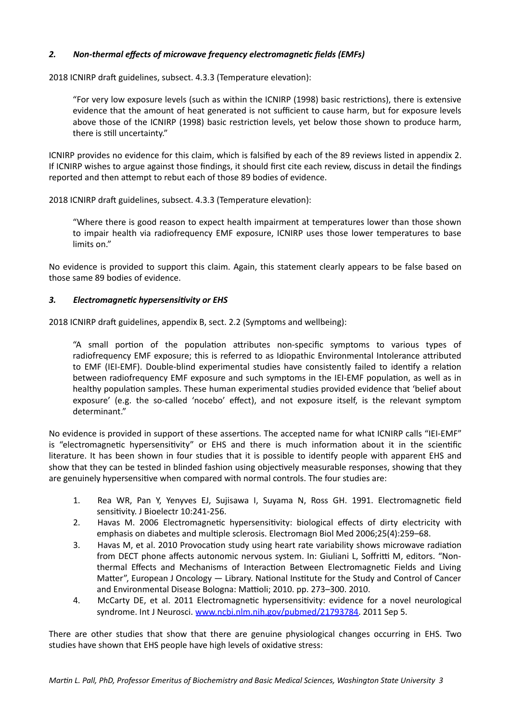### <span id="page-2-0"></span>2. Non-thermal effects of microwave frequency electromagnetic fields (EMFs)

2018 ICNIRP draft guidelines, subsect. 4.3.3 (Temperature elevation):

"For very low exposure levels (such as within the ICNIRP (1998) basic restrictions), there is extensive evidence that the amount of heat generated is not sufficient to cause harm, but for exposure levels above those of the ICNIRP (1998) basic restriction levels, yet below those shown to produce harm, there is still uncertainty."

ICNIRP provides no evidence for this claim, which is falsified by each of the 89 reviews listed in appendix 2. If ICNIRP wishes to argue against those findings, it should first cite each review, discuss in detail the findings reported and then attempt to rebut each of those 89 bodies of evidence.

2018 ICNIRP draft guidelines, subsect. 4.3.3 (Temperature elevation):

"Where there is good reason to expect health impairment at temperatures lower than those shown to impair health via radiofrequency EMF exposure, ICNIRP uses those lower temperatures to base limits on."

No evidence is provided to support this claim. Again, this statement clearly appears to be false based on those same 89 bodies of evidence.

#### <span id="page-2-1"></span>3. Electromagnetic hypersensitivity or EHS

2018 ICNIRP draft guidelines, appendix B, sect. 2.2 (Symptoms and wellbeing):

"A small portion of the population attributes non-specific symptoms to various types of radiofrequency EMF exposure; this is referred to as Idiopathic Environmental Intolerance attributed to EMF (IEI-EMF). Double-blind experimental studies have consistently failed to identify a relation between radiofrequency EMF exposure and such symptoms in the IEI-EMF population, as well as in healthy population samples. These human experimental studies provided evidence that 'belief about exposure' (e.g. the so-called 'nocebo' effect), and not exposure itself, is the relevant symptom determinant." 

No evidence is provided in support of these assertions. The accepted name for what ICNIRP calls "IEI-EMF" is "electromagnetic hypersensitivity" or EHS and there is much information about it in the scientific literature. It has been shown in four studies that it is possible to identify people with apparent EHS and show that they can be tested in blinded fashion using objectively measurable responses, showing that they are genuinely hypersensitive when compared with normal controls. The four studies are:

- 1. Rea WR, Pan Y, Yenyves EJ, Sujisawa I, Suyama N, Ross GH. 1991. Electromagnetic field sensitivity. J Bioelectr 10:241-256.
- 2. Havas M. 2006 Electromagnetic hypersensitivity: biological effects of dirty electricity with emphasis on diabetes and multiple sclerosis. Electromagn Biol Med 2006;25(4):259-68.
- 3. Havas M, et al. 2010 Provocation study using heart rate variability shows microwave radiation from DECT phone affects autonomic nervous system. In: Giuliani L, Soffritti M, editors. "Nonthermal Effects and Mechanisms of Interaction Between Electromagnetic Fields and Living Matter", European J Oncology  $-$  Library. National Institute for the Study and Control of Cancer and Environmental Disease Bologna: Mattioli; 2010. pp. 273-300. 2010.
- 4. McCarty DE, et al. 2011 Electromagnetic hypersensitivity: evidence for a novel neurological syndrome. Int J Neurosci. [www.ncbi.nlm.nih.gov/pubmed/21793784.](http://www.ncbi.nlm.nih.gov/pubmed/21793784) 2011 Sep 5.

There are other studies that show that there are genuine physiological changes occurring in EHS. Two studies have shown that EHS people have high levels of oxidative stress: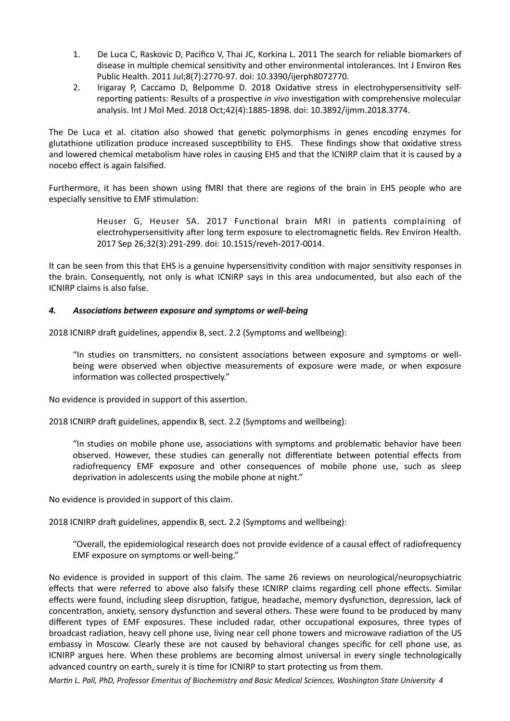- 1. De Luca C, Raskovic D, Pacifico V, Thai JC, Korkina L, 2011 The search for reliable biomarkers of disease in multiple chemical sensitivity and other environmental intolerances. Int J Environ Res Public Health. 2011 Jul;8(7):2770-97. doi: 10.3390/ijerph8072770.
- 2. Irigaray P, Caccamo D, Belpomme D. 2018 Oxidative stress in electrohypersensitivity selfreporting patients: Results of a prospective *in vivo* investigation with comprehensive molecular analysis. Int J Mol Med. 2018 Oct;42(4):1885-1898. doi: 10.3892/ijmm.2018.3774.

The De Luca et al. citation also showed that genetic polymorphisms in genes encoding enzymes for glutathione utilization produce increased susceptibility to EHS. These findings show that oxidative stress and lowered chemical metabolism have roles in causing EHS and that the ICNIRP claim that it is caused by a nocebo effect is again falsified.

Furthermore, it has been shown using fMRI that there are regions of the brain in EHS people who are especially sensitive to EMF stimulation:

> Heuser G, Heuser SA. 2017 Functional brain MRI in patients complaining of electrohypersensitivity after long term exposure to electromagnetic fields. Rev Environ Health. 2017 Sep 26;32(3):291-299. doi: 10.1515/reveh-2017-0014.

It can be seen from this that EHS is a genuine hypersensitivity condition with major sensitivity responses in the brain. Consequently, not only is what ICNIRP says in this area undocumented, but also each of the ICNIRP claims is also false. 

#### <span id="page-3-0"></span>4. Associations between exposure and symptoms or well-being

2018 ICNIRP draft guidelines, appendix B, sect. 2.2 (Symptoms and wellbeing):

"In studies on transmitters, no consistent associations between exposure and symptoms or wellbeing were observed when objective measurements of exposure were made, or when exposure information was collected prospectively."

No evidence is provided in support of this assertion.

2018 ICNIRP draft guidelines, appendix B, sect. 2.2 (Symptoms and wellbeing):

"In studies on mobile phone use, associations with symptoms and problematic behavior have been observed. However, these studies can generally not differentiate between potential effects from radiofrequency EMF exposure and other consequences of mobile phone use, such as sleep deprivation in adolescents using the mobile phone at night."

No evidence is provided in support of this claim.

2018 ICNIRP draft guidelines, appendix B, sect. 2.2 (Symptoms and wellbeing):

"Overall, the epidemiological research does not provide evidence of a causal effect of radiofrequency EMF exposure on symptoms or well-being."

No evidence is provided in support of this claim. The same 26 reviews on neurological/neuropsychiatric effects that were referred to above also falsify these ICNIRP claims regarding cell phone effects. Similar effects were found, including sleep disruption, fatigue, headache, memory dysfunction, depression, lack of concentration, anxiety, sensory dysfunction and several others. These were found to be produced by many different types of EMF exposures. These included radar, other occupational exposures, three types of broadcast radiation, heavy cell phone use, living near cell phone towers and microwave radiation of the US embassy in Moscow. Clearly these are not caused by behavioral changes specific for cell phone use, as ICNIRP argues here. When these problems are becoming almost universal in every single technologically advanced country on earth, surely it is time for ICNIRP to start protecting us from them.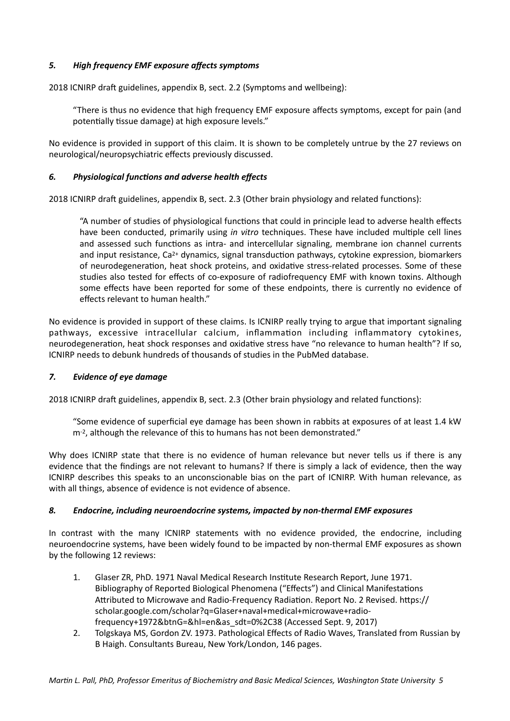#### <span id="page-4-0"></span>5. High frequency **EMF** exposure affects symptoms

2018 ICNIRP draft guidelines, appendix B, sect. 2.2 (Symptoms and wellbeing):

"There is thus no evidence that high frequency EMF exposure affects symptoms, except for pain (and potentially tissue damage) at high exposure levels."

No evidence is provided in support of this claim. It is shown to be completely untrue by the 27 reviews on neurological/neuropsychiatric effects previously discussed.

#### <span id="page-4-1"></span>6. Physiological functions and adverse health effects

2018 ICNIRP draft guidelines, appendix B, sect. 2.3 (Other brain physiology and related functions):

"A number of studies of physiological functions that could in principle lead to adverse health effects have been conducted, primarily using *in vitro* techniques. These have included multiple cell lines and assessed such functions as intra- and intercellular signaling, membrane ion channel currents and input resistance, Ca<sup>2+</sup> dynamics, signal transduction pathways, cytokine expression, biomarkers of neurodegeneration, heat shock proteins, and oxidative stress-related processes. Some of these studies also tested for effects of co-exposure of radiofrequency EMF with known toxins. Although some effects have been reported for some of these endpoints, there is currently no evidence of effects relevant to human health."

No evidence is provided in support of these claims. Is ICNIRP really trying to argue that important signaling pathways, excessive intracellular calcium, inflammation including inflammatory cytokines, neurodegeneration, heat shock responses and oxidative stress have "no relevance to human health"? If so, ICNIRP needs to debunk hundreds of thousands of studies in the PubMed database. 

#### <span id="page-4-2"></span>**7.** Evidence of eye damage

2018 ICNIRP draft guidelines, appendix B, sect. 2.3 (Other brain physiology and related functions):

"Some evidence of superficial eye damage has been shown in rabbits at exposures of at least 1.4 kW m-2, although the relevance of this to humans has not been demonstrated."

Why does ICNIRP state that there is no evidence of human relevance but never tells us if there is any evidence that the findings are not relevant to humans? If there is simply a lack of evidence, then the way ICNIRP describes this speaks to an unconscionable bias on the part of ICNIRP. With human relevance, as with all things, absence of evidence is not evidence of absence.

#### <span id="page-4-3"></span>8. Endocrine, including neuroendocrine systems, impacted by non-thermal EMF exposures

In contrast with the many ICNIRP statements with no evidence provided, the endocrine, including neuroendocrine systems, have been widely found to be impacted by non-thermal EMF exposures as shown by the following 12 reviews:

- 1. Glaser ZR, PhD. 1971 Naval Medical Research Institute Research Report, June 1971. Bibliography of Reported Biological Phenomena ("Effects") and Clinical Manifestations Attributed to Microwave and Radio-Frequency Radiation. Report No. 2 Revised. https:// scholar.google.com/scholar?q=Glaser+naval+medical+microwave+radiofrequency+1972&btnG=&hl=en&as\_sdt=0%2C38 (Accessed Sept. 9, 2017)
- 2. Tolgskaya MS, Gordon ZV. 1973. Pathological Effects of Radio Waves, Translated from Russian by B Haigh. Consultants Bureau, New York/London, 146 pages.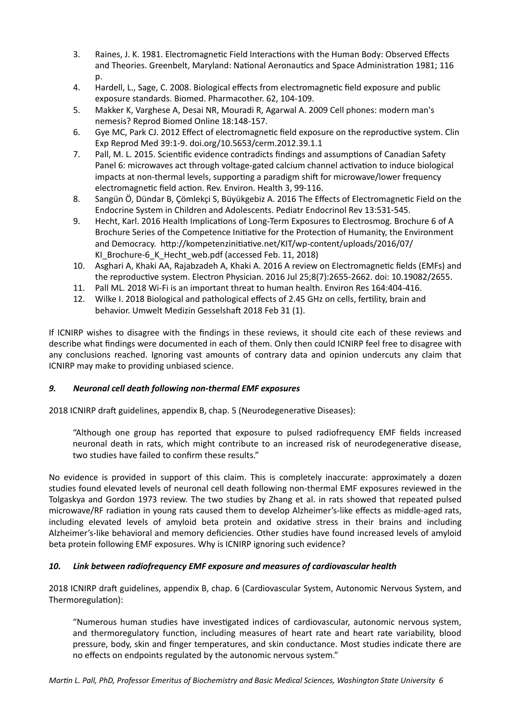- 3. Raines, J. K. 1981. Electromagnetic Field Interactions with the Human Body: Observed Effects and Theories. Greenbelt, Maryland: National Aeronautics and Space Administration 1981; 116  $D<sub>0</sub>$
- 4. Hardell, L., Sage, C. 2008. Biological effects from electromagnetic field exposure and public exposure standards. Biomed. Pharmacother. 62, 104-109.
- 5. Makker K, Varghese A, Desai NR, Mouradi R, Agarwal A. 2009 Cell phones: modern man's nemesis? Reprod Biomed Online 18:148-157.
- 6. Gye MC, Park CJ. 2012 Effect of electromagnetic field exposure on the reproductive system. Clin Exp Reprod Med 39:1-9. doi.org/10.5653/cerm.2012.39.1.1
- 7. Pall, M. L. 2015. Scientific evidence contradicts findings and assumptions of Canadian Safety Panel 6: microwaves act through voltage-gated calcium channel activation to induce biological impacts at non-thermal levels, supporting a paradigm shift for microwave/lower frequency electromagnetic field action. Rev. Environ. Health 3, 99-116.
- 8. Sangün Ö, Dündar B, Cömlekci S, Büyükgebiz A. 2016 The Effects of Electromagnetic Field on the Endocrine System in Children and Adolescents. Pediatr Endocrinol Rev 13:531-545.
- 9. Hecht, Karl. 2016 Health Implications of Long-Term Exposures to Electrosmog. Brochure 6 of A Brochure Series of the Competence Initiative for the Protection of Humanity, the Environment and Democracy. http://kompetenzinitiative.net/KIT/wp-content/uploads/2016/07/ KI Brochure-6 K Hecht web.pdf (accessed Feb. 11, 2018)
- 10. Asghari A, Khaki AA, Rajabzadeh A, Khaki A. 2016 A review on Electromagnetic fields (EMFs) and the reproductive system. Electron Physician. 2016 Jul 25;8(7):2655-2662. doi: 10.19082/2655.
- 11. Pall ML. 2018 Wi-Fi is an important threat to human health. Environ Res 164:404-416.
- 12. Wilke I. 2018 Biological and pathological effects of 2.45 GHz on cells, fertility, brain and behavior. Umwelt Medizin Gesselshaft 2018 Feb 31 (1).

If ICNIRP wishes to disagree with the findings in these reviews, it should cite each of these reviews and describe what findings were documented in each of them. Only then could ICNIRP feel free to disagree with any conclusions reached. Ignoring vast amounts of contrary data and opinion undercuts any claim that ICNIRP may make to providing unbiased science.

### <span id="page-5-0"></span>9. Neuronal cell death following non-thermal EMF exposures

2018 ICNIRP draft guidelines, appendix B, chap. 5 (Neurodegenerative Diseases):

"Although one group has reported that exposure to pulsed radiofrequency EMF fields increased neuronal death in rats, which might contribute to an increased risk of neurodegenerative disease, two studies have failed to confirm these results."

No evidence is provided in support of this claim. This is completely inaccurate: approximately a dozen studies found elevated levels of neuronal cell death following non-thermal EMF exposures reviewed in the Tolgaskya and Gordon 1973 review. The two studies by Zhang et al. in rats showed that repeated pulsed microwave/RF radiation in young rats caused them to develop Alzheimer's-like effects as middle-aged rats, including elevated levels of amyloid beta protein and oxidative stress in their brains and including Alzheimer's-like behavioral and memory deficiencies. Other studies have found increased levels of amyloid beta protein following EMF exposures. Why is ICNIRP ignoring such evidence?

### <span id="page-5-1"></span>10. Link between radiofrequency EMF exposure and measures of cardiovascular health

2018 ICNIRP draft guidelines, appendix B, chap. 6 (Cardiovascular System, Autonomic Nervous System, and Thermoregulation):

"Numerous human studies have investigated indices of cardiovascular, autonomic nervous system, and thermoregulatory function, including measures of heart rate and heart rate variability, blood pressure, body, skin and finger temperatures, and skin conductance. Most studies indicate there are no effects on endpoints regulated by the autonomic nervous system."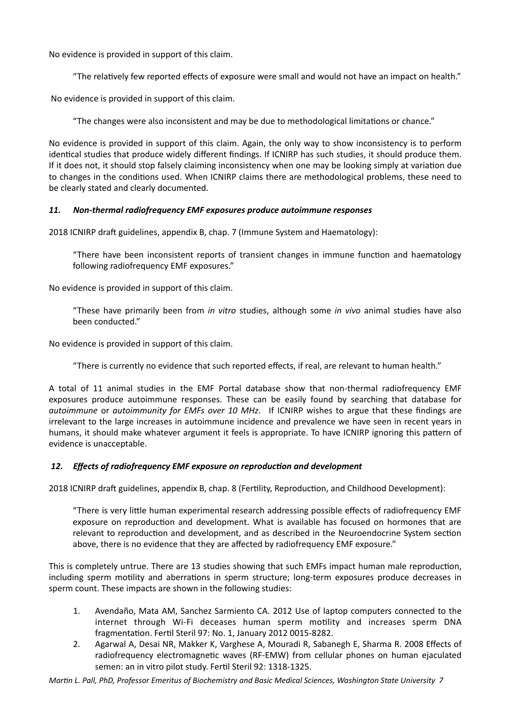No evidence is provided in support of this claim.

"The relatively few reported effects of exposure were small and would not have an impact on health."

No evidence is provided in support of this claim.

"The changes were also inconsistent and may be due to methodological limitations or chance."

No evidence is provided in support of this claim. Again, the only way to show inconsistency is to perform identical studies that produce widely different findings. If ICNIRP has such studies, it should produce them. If it does not, it should stop falsely claiming inconsistency when one may be looking simply at variation due to changes in the conditions used. When ICNIRP claims there are methodological problems, these need to be clearly stated and clearly documented.

#### <span id="page-6-0"></span>11. Non-thermal radiofrequency EMF exposures produce autoimmune responses

2018 ICNIRP draft guidelines, appendix B, chap. 7 (Immune System and Haematology):

"There have been inconsistent reports of transient changes in immune function and haematology following radiofrequency EMF exposures."

No evidence is provided in support of this claim.

"These have primarily been from *in vitro* studies, although some *in vivo* animal studies have also been conducted."

No evidence is provided in support of this claim.

"There is currently no evidence that such reported effects, if real, are relevant to human health."

A total of 11 animal studies in the EMF Portal database show that non-thermal radiofrequency EMF exposures produce autoimmune responses. These can be easily found by searching that database for *autoimmune* or *autoimmunity* for *EMFs* over 10 MHz. If ICNIRP wishes to argue that these findings are irrelevant to the large increases in autoimmune incidence and prevalence we have seen in recent years in humans, it should make whatever argument it feels is appropriate. To have ICNIRP ignoring this pattern of evidence is unacceptable.

#### <span id="page-6-1"></span>12. Effects of radiofrequency EMF exposure on reproduction and development

2018 ICNIRP draft guidelines, appendix B, chap. 8 (Fertility, Reproduction, and Childhood Development):

"There is very little human experimental research addressing possible effects of radiofrequency EMF exposure on reproduction and development. What is available has focused on hormones that are relevant to reproduction and development, and as described in the Neuroendocrine System section above, there is no evidence that they are affected by radiofrequency EMF exposure."

This is completely untrue. There are 13 studies showing that such EMFs impact human male reproduction, including sperm motility and aberrations in sperm structure; long-term exposures produce decreases in sperm count. These impacts are shown in the following studies:

- 1. Avendaño, Mata AM, Sanchez Sarmiento CA. 2012 Use of laptop computers connected to the internet through Wi-Fi deceases human sperm motility and increases sperm DNA fragmentation. Fertil Steril 97: No. 1, January 2012 0015-8282.
- 2. Agarwal A, Desai NR, Makker K, Varghese A, Mouradi R, Sabanegh E, Sharma R. 2008 Effects of radiofrequency electromagnetic waves (RF-EMW) from cellular phones on human ejaculated semen: an in vitro pilot study. Fertil Steril 92: 1318-1325.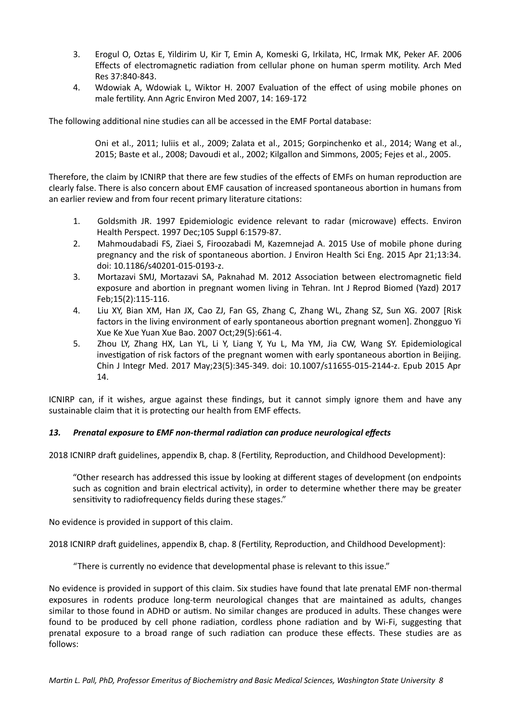- 3. Erogul O, Oztas E, Yildirim U, Kir T, Emin A, Komeski G, Irkilata, HC, Irmak MK, Peker AF, 2006 Effects of electromagnetic radiation from cellular phone on human sperm motility. Arch Med Res 37:840-843.
- 4. Wdowiak A, Wdowiak L, Wiktor H. 2007 Evaluation of the effect of using mobile phones on male fertility. Ann Agric Environ Med 2007, 14: 169-172

The following additional nine studies can all be accessed in the EMF Portal database:

Oni et al., 2011; Iuliis et al., 2009; Zalata et al., 2015; Gorpinchenko et al., 2014; Wang et al., 2015; Baste et al., 2008; Davoudi et al., 2002; Kilgallon and Simmons, 2005; Fejes et al., 2005.

Therefore, the claim by ICNIRP that there are few studies of the effects of EMFs on human reproduction are clearly false. There is also concern about EMF causation of increased spontaneous abortion in humans from an earlier review and from four recent primary literature citations:

- 1. Goldsmith JR. 1997 Epidemiologic evidence relevant to radar (microwave) effects. Environ Health Perspect. 1997 Dec;105 Suppl 6:1579-87.
- 2. Mahmoudabadi FS, Ziaei S, Firoozabadi M, Kazemnejad A. 2015 Use of mobile phone during pregnancy and the risk of spontaneous abortion. J Environ Health Sci Eng. 2015 Apr 21;13:34. doi: 10.1186/s40201-015-0193-z.
- 3. Mortazavi SMJ, Mortazavi SA, Paknahad M. 2012 Association between electromagnetic field exposure and abortion in pregnant women living in Tehran. Int J Reprod Biomed (Yazd) 2017 Feb;15(2):115-116.
- 4. Liu XY, Bian XM, Han JX, Cao ZJ, Fan GS, Zhang C, Zhang WL, Zhang SZ, Sun XG. 2007 [Risk factors in the living environment of early spontaneous abortion pregnant women]. Zhongguo Yi Xue Ke Xue Yuan Xue Bao. 2007 Oct;29(5):661-4.
- 5. Zhou LY, Zhang HX, Lan YL, Li Y, Liang Y, Yu L, Ma YM, Jia CW, Wang SY. Epidemiological investigation of risk factors of the pregnant women with early spontaneous abortion in Beijing. Chin J Integr Med. 2017 May;23(5):345-349. doi: 10.1007/s11655-015-2144-z. Epub 2015 Apr 14.

ICNIRP can, if it wishes, argue against these findings, but it cannot simply ignore them and have any sustainable claim that it is protecting our health from EMF effects.

### <span id="page-7-0"></span>13. Prenatal exposure to EMF non-thermal radiation can produce neurological effects

2018 ICNIRP draft guidelines, appendix B, chap. 8 (Fertility, Reproduction, and Childhood Development):

"Other research has addressed this issue by looking at different stages of development (on endpoints such as cognition and brain electrical activity), in order to determine whether there may be greater sensitivity to radiofrequency fields during these stages."

No evidence is provided in support of this claim.

2018 ICNIRP draft guidelines, appendix B, chap. 8 (Fertility, Reproduction, and Childhood Development):

"There is currently no evidence that developmental phase is relevant to this issue."

No evidence is provided in support of this claim. Six studies have found that late prenatal EMF non-thermal exposures in rodents produce long-term neurological changes that are maintained as adults, changes similar to those found in ADHD or autism. No similar changes are produced in adults. These changes were found to be produced by cell phone radiation, cordless phone radiation and by Wi-Fi, suggesting that prenatal exposure to a broad range of such radiation can produce these effects. These studies are as follows: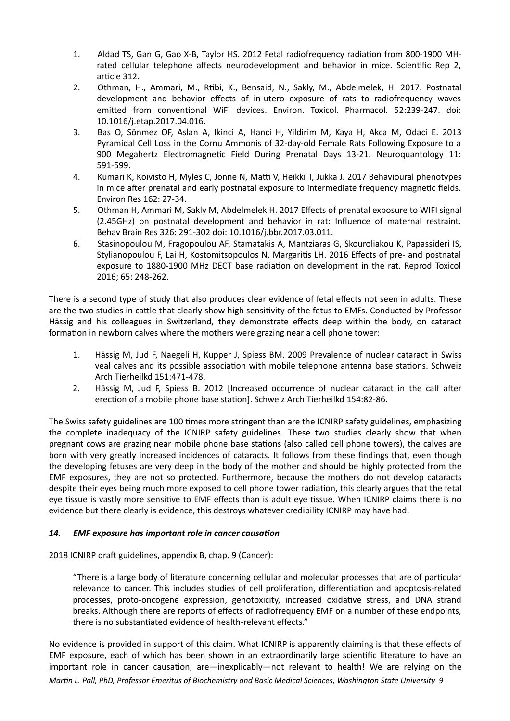- 1. Aldad TS, Gan G, Gao X-B, Taylor HS, 2012 Fetal radiofrequency radiation from 800-1900 MHrated cellular telephone affects neurodevelopment and behavior in mice. Scientific Rep 2, article 312.
- 2. Othman, H., Ammari, M., Rtibi, K., Bensaid, N., Sakly, M., Abdelmelek, H. 2017. Postnatal development and behavior effects of in-utero exposure of rats to radiofrequency waves emitted from conventional WiFi devices. Environ. Toxicol. Pharmacol. 52:239-247. doi: 10.1016/j.etap.2017.04.016.
- 3. Bas O, Sönmez OF, Aslan A, Ikinci A, Hanci H, Yildirim M, Kaya H, Akca M, Odaci E. 2013 Pyramidal Cell Loss in the Cornu Ammonis of 32-day-old Female Rats Following Exposure to a 900 Megahertz Electromagnetic Field During Prenatal Days 13-21. Neuroquantology 11: 591-599.
- 4. Kumari K, Koivisto H, Myles C, Jonne N, Matti V, Heikki T, Jukka J. 2017 Behavioural phenotypes in mice after prenatal and early postnatal exposure to intermediate frequency magnetic fields. Environ Res 162: 27-34.
- 5. Othman H, Ammari M, Sakly M, Abdelmelek H. 2017 Effects of prenatal exposure to WIFI signal (2.45GHz) on postnatal development and behavior in rat: Influence of maternal restraint. Behav Brain Res 326: 291-302 doi: 10.1016/j.bbr.2017.03.011.
- 6. Stasinopoulou M, Fragopoulou AF, Stamatakis A, Mantziaras G, Skouroliakou K, Papassideri IS, Stylianopoulou F, Lai H, Kostomitsopoulos N, Margaritis LH. 2016 Effects of pre- and postnatal exposure to 1880-1900 MHz DECT base radiation on development in the rat. Reprod Toxicol 2016; 65: 248-262.

There is a second type of study that also produces clear evidence of fetal effects not seen in adults. These are the two studies in cattle that clearly show high sensitivity of the fetus to EMFs. Conducted by Professor Hässig and his colleagues in Switzerland, they demonstrate effects deep within the body, on cataract formation in newborn calves where the mothers were grazing near a cell phone tower:

- 1. Hässig M, Jud F, Naegeli H, Kupper J, Spiess BM. 2009 Prevalence of nuclear cataract in Swiss veal calves and its possible association with mobile telephone antenna base stations. Schweiz Arch Tierheilkd 151:471-478.
- 2. Hässig M, Jud F, Spiess B. 2012 [Increased occurrence of nuclear cataract in the calf after erection of a mobile phone base station]. Schweiz Arch Tierheilkd 154:82-86.

The Swiss safety guidelines are 100 times more stringent than are the ICNIRP safety guidelines, emphasizing the complete inadequacy of the ICNIRP safety guidelines. These two studies clearly show that when pregnant cows are grazing near mobile phone base stations (also called cell phone towers), the calves are born with very greatly increased incidences of cataracts. It follows from these findings that, even though the developing fetuses are very deep in the body of the mother and should be highly protected from the EMF exposures, they are not so protected. Furthermore, because the mothers do not develop cataracts despite their eyes being much more exposed to cell phone tower radiation, this clearly argues that the fetal eye tissue is vastly more sensitive to EMF effects than is adult eye tissue. When ICNIRP claims there is no evidence but there clearly is evidence, this destroys whatever credibility ICNIRP may have had.

### <span id="page-8-0"></span>14. EMF exposure has important role in cancer causation

2018 ICNIRP draft guidelines, appendix B, chap. 9 (Cancer):

"There is a large body of literature concerning cellular and molecular processes that are of particular relevance to cancer. This includes studies of cell proliferation, differentiation and apoptosis-related processes, proto-oncogene expression, genotoxicity, increased oxidative stress, and DNA strand breaks. Although there are reports of effects of radiofrequency EMF on a number of these endpoints, there is no substantiated evidence of health-relevant effects."

No evidence is provided in support of this claim. What ICNIRP is apparently claiming is that these effects of EMF exposure, each of which has been shown in an extraordinarily large scientific literature to have an important role in cancer causation, are—inexplicably—not relevant to health! We are relying on the *Martin L. Pall, PhD, Professor Emeritus of Biochemistry and Basic Medical Sciences, Washington State University 9*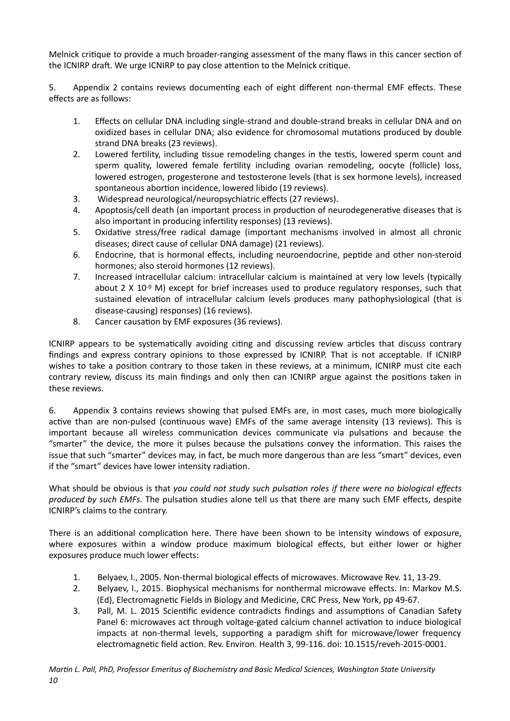Melnick critique to provide a much broader-ranging assessment of the many flaws in this cancer section of the ICNIRP draft. We urge ICNIRP to pay close attention to the Melnick critique.

5. Appendix 2 contains reviews documenting each of eight different non-thermal EMF effects. These effects are as follows:

- 1. Effects on cellular DNA including single-strand and double-strand breaks in cellular DNA and on oxidized bases in cellular DNA; also evidence for chromosomal mutations produced by double strand DNA breaks (23 reviews).
- 2. Lowered fertility, including tissue remodeling changes in the testis, lowered sperm count and sperm quality, lowered female fertility including ovarian remodeling, oocyte (follicle) loss, lowered estrogen, progesterone and testosterone levels (that is sex hormone levels), increased spontaneous abortion incidence, lowered libido (19 reviews).
- 3. Widespread neurological/neuropsychiatric effects (27 reviews).
- 4. Apoptosis/cell death (an important process in production of neurodegenerative diseases that is also important in producing infertility responses) (13 reviews).
- 5. Oxidative stress/free radical damage (important mechanisms involved in almost all chronic diseases; direct cause of cellular DNA damage) (21 reviews).
- 6. Endocrine, that is hormonal effects, including neuroendocrine, peptide and other non-steroid hormones; also steroid hormones (12 reviews).
- 7. Increased intracellular calcium: intracellular calcium is maintained at very low levels (typically about  $2 \times 10^{-9}$  M) except for brief increases used to produce regulatory responses, such that sustained elevation of intracellular calcium levels produces many pathophysiological (that is disease-causing) responses) (16 reviews).
- 8. Cancer causation by EMF exposures (36 reviews).

ICNIRP appears to be systematically avoiding citing and discussing review articles that discuss contrary findings and express contrary opinions to those expressed by ICNIRP. That is not acceptable. If ICNIRP wishes to take a position contrary to those taken in these reviews, at a minimum, ICNIRP must cite each contrary review, discuss its main findings and only then can ICNIRP argue against the positions taken in these reviews.

6. Appendix 3 contains reviews showing that pulsed EMFs are, in most cases, much more biologically active than are non-pulsed (continuous wave) EMFs of the same average intensity (13 reviews). This is important because all wireless communication devices communicate via pulsations and because the "smarter" the device, the more it pulses because the pulsations convey the information. This raises the issue that such "smarter" devices may, in fact, be much more dangerous than are less "smart" devices, even if the "smart" devices have lower intensity radiation.

What should be obvious is that you could not study such pulsation roles if there were no biological effects *produced by such EMFs*. The pulsation studies alone tell us that there are many such EMF effects, despite ICNIRP's claims to the contrary.

There is an additional complication here. There have been shown to be intensity windows of exposure, where exposures within a window produce maximum biological effects, but either lower or higher exposures produce much lower effects:

- 1. Belyaev, I., 2005. Non-thermal biological effects of microwaves. Microwave Rev. 11, 13-29.
- 2. Belyaev, I., 2015. Biophysical mechanisms for nonthermal microwave effects. In: Markov M.S. (Ed), Electromagnetic Fields in Biology and Medicine, CRC Press, New York, pp 49-67.
- 3. Pall, M. L. 2015 Scientific evidence contradicts findings and assumptions of Canadian Safety Panel 6: microwaves act through voltage-gated calcium channel activation to induce biological impacts at non-thermal levels, supporting a paradigm shift for microwave/lower frequency electromagnetic field action. Rev. Environ. Health 3, 99-116. doi: 10.1515/reveh-2015-0001.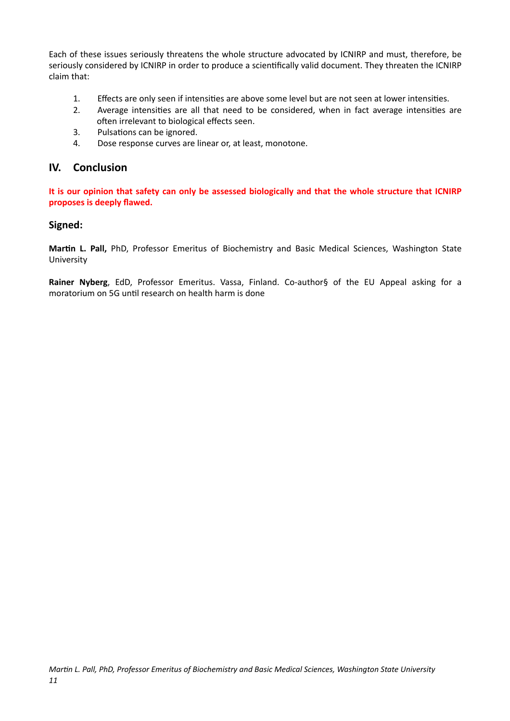Each of these issues seriously threatens the whole structure advocated by ICNIRP and must, therefore, be seriously considered by ICNIRP in order to produce a scientifically valid document. They threaten the ICNIRP claim that:

- 1. Effects are only seen if intensities are above some level but are not seen at lower intensities.
- 2. Average intensities are all that need to be considered, when in fact average intensities are often irrelevant to biological effects seen.
- 3. Pulsations can be ignored.
- 4. Dose response curves are linear or, at least, monotone.

### <span id="page-10-0"></span>**IV.** Conclusion

It is our opinion that safety can only be assessed biologically and that the whole structure that ICNIRP proposes is deeply flawed.

### **Signed:**

Martin L. Pall, PhD, Professor Emeritus of Biochemistry and Basic Medical Sciences, Washington State University 

Rainer Nyberg, EdD, Professor Emeritus. Vassa, Finland. Co-author§ of the EU Appeal asking for a moratorium on 5G until research on health harm is done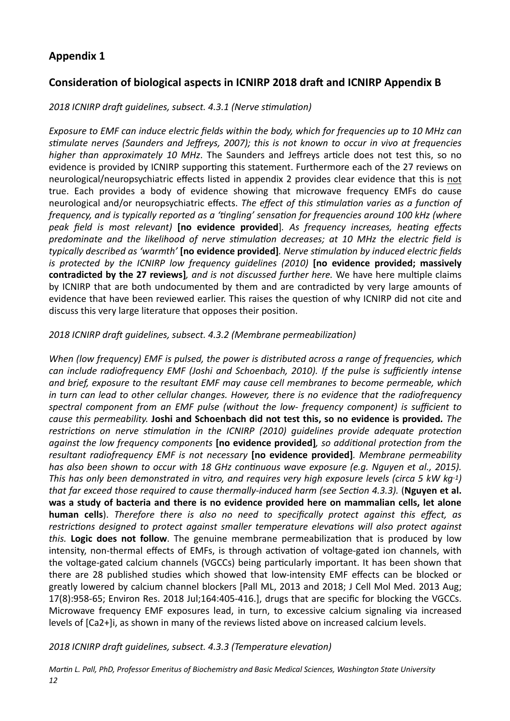## <span id="page-11-0"></span>**Appendix 1**

## Consideration of biological aspects in ICNIRP 2018 draft and ICNIRP Appendix B

### 2018 ICNIRP draft guidelines, subsect. 4.3.1 (Nerve stimulation)

*Exposure to EMF can induce electric fields within the body, which for frequencies up to 10 MHz can* stimulate nerves (Saunders and Jeffreys, 2007); this is not known to occur in vivo at frequencies *higher than approximately 10 MHz*. The Saunders and Jeffreys article does not test this, so no evidence is provided by ICNIRP supporting this statement. Furthermore each of the 27 reviews on neurological/neuropsychiatric effects listed in appendix 2 provides clear evidence that this is not true. Each provides a body of evidence showing that microwave frequency EMFs do cause neurological and/or neuropsychiatric effects. The effect of this stimulation varies as a function of *frequency, and is typically reported as a 'tingling' sensation for frequencies around 100 kHz (where peak field is most relevant*) [no evidence provided]. As frequency increases, heating effects predominate and the likelihood of nerve stimulation decreases; at 10 MHz the electric field is *typically described as 'warmth'* [no evidence provided]. Nerve stimulation by induced electric fields *is* protected by the ICNIRP low frequency guidelines (2010) [no evidence provided; massively **contradicted by the 27 reviews]**, and is not discussed further here. We have here multiple claims by ICNIRP that are both undocumented by them and are contradicted by very large amounts of evidence that have been reviewed earlier. This raises the question of why ICNIRP did not cite and discuss this very large literature that opposes their position.

### 2018 ICNIRP draft quidelines, subsect. 4.3.2 (Membrane permeabilization)

*When* (low frequency) EMF is pulsed, the power is distributed across a range of frequencies, which *can include radiofrequency EMF (Joshi and Schoenbach, 2010). If the pulse is sufficiently intense* and brief, exposure to the resultant EMF may cause cell membranes to become permeable, which *in* turn can lead to other cellular changes. However, there is no evidence that the radiofrequency spectral component from an EMF pulse (without the low- frequency component) is sufficient to *cause this permeability.* Joshi and Schoenbach did not test this, so no evidence is provided. The restrictions on nerve stimulation in the ICNIRP (2010) quidelines provide adequate protection against the low frequency components [no evidence provided], so additional protection from the *resultant radiofrequency EMF is not necessary* [no evidence provided]. Membrane permeability *has also been shown to occur with 18 GHz continuous wave exposure (e.g. Nguyen et al., 2015). This has only been demonstrated in vitro, and requires very high exposure levels (circa 5 kW kg-1) that far exceed those required to cause thermally-induced harm (see Section 4.3.3).* (Nguyen et al. was a study of bacteria and there is no evidence provided here on mammalian cells, let alone **human cells**). Therefore there is also no need to specifically protect against this effect, as restrictions designed to protect against smaller temperature elevations will also protect against *this.* **Logic does not follow**. The genuine membrane permeabilization that is produced by low intensity, non-thermal effects of EMFs, is through activation of voltage-gated ion channels, with the voltage-gated calcium channels (VGCCs) being particularly important. It has been shown that there are 28 published studies which showed that low-intensity EMF effects can be blocked or greatly lowered by calcium channel blockers [Pall ML, 2013 and 2018; J Cell Mol Med. 2013 Aug; 17(8):958-65; Environ Res. 2018 Jul;164:405-416.], drugs that are specific for blocking the VGCCs. Microwave frequency EMF exposures lead, in turn, to excessive calcium signaling via increased levels of [Ca2+]i, as shown in many of the reviews listed above on increased calcium levels.

2018 ICNIRP draft quidelines, subsect. 4.3.3 (Temperature elevation)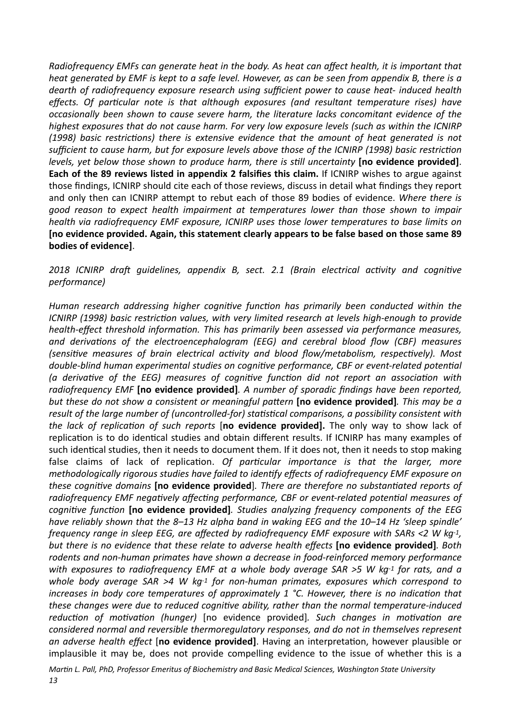*Radiofrequency EMFs can generate heat in the body. As heat can affect health, it is important that heat generated by EMF is kept to a safe level. However, as can be seen from appendix B, there is a dearth* of radiofrequency exposure research using sufficient power to cause heat- induced health *effects.* Of particular note is that although exposures (and resultant temperature rises) have *occasionally been shown to cause severe harm, the literature lacks concomitant evidence of the highest exposures that do not cause harm. For very low exposure levels (such as within the ICNIRP (1998)* basic restrictions) there is extensive evidence that the amount of heat generated is not sufficient to cause harm, but for exposure levels above those of the ICNIRP (1998) basic restriction *levels, yet below those shown to produce harm, there is still uncertainty* [no evidence provided]. **Each of the 89 reviews listed in appendix 2 falsifies this claim.** If ICNIRP wishes to argue against those findings, ICNIRP should cite each of those reviews, discuss in detail what findings they report and only then can ICNIRP attempt to rebut each of those 89 bodies of evidence. Where there is good reason to expect health impairment at temperatures lower than those shown to impair *health* via radiofrequency EMF exposure, ICNIRP uses those lower temperatures to base limits on [no evidence provided. Again, this statement clearly appears to be false based on those same 89 **bodies of evidence].** 

2018 ICNIRP draft quidelines, appendix B, sect. 2.1 (Brain electrical activity and cognitive *performance)* 

*Human research addressing higher cognitive function has primarily been conducted within the ICNIRP* (1998) basic restriction values, with very limited research at levels high-enough to provide *health-effect threshold information. This has primarily been assessed via performance measures,* and derivations of the electroencephalogram (EEG) and cerebral blood flow (CBF) measures *(sensitive measures of brain electrical activity and blood flow/metabolism, respectively). Most double-blind human experimental studies on cognitive performance, CBF or event-related potential (a derivative of the EEG) measures of cognitive function did not report an association with radiofrequency* EMF [no evidence provided]. A number of sporadic findings have been reported, *but these do not show a consistent or meaningful pattern* [no evidence provided]. This may be a *result of the large number of (uncontrolled-for)* statistical comparisons, a possibility consistent with *the lack of replication of such reports* [no evidence provided]. The only way to show lack of replication is to do identical studies and obtain different results. If ICNIRP has many examples of such identical studies, then it needs to document them. If it does not, then it needs to stop making false claims of lack of replication. Of particular importance is that the larger, more *methodologically rigorous studies have failed to identify effects of radiofrequency EMF exposure on these cognitive domains* [no evidence provided]. There are therefore no substantiated reports of radiofrequency EMF negatively affecting performance, CBF or event-related potential measures of *cognitive function* [no evidence provided]. Studies analyzing frequency components of the EEG have reliably shown that the 8–13 Hz alpha band in waking EEG and the 10–14 Hz 'sleep spindle' *frequency range in sleep EEG, are affected by radiofrequency EMF exposure with SARs <2 W kg-1, but there is no evidence that these relate to adverse health effects* [no evidence provided]. Both rodents and non-human primates have shown a decrease in food-reinforced memory performance *with* exposures to radiofrequency EMF at a whole body average SAR >5 W kg-1 for rats, and a whole body average  $SAR > 4$  W kg<sup>-1</sup> for non-human primates, exposures which correspond to *increases in body core temperatures of approximately 1 °C. However, there is no indication that* these changes were due to reduced cognitive ability, rather than the normal temperature-induced *reduction of motivation (hunger)* [no evidence provided]. Such changes in motivation are *considered normal and reversible thermoregulatory responses, and do not in themselves represent* an adverse health effect [no evidence provided]. Having an interpretation, however plausible or implausible it may be, does not provide compelling evidence to the issue of whether this is a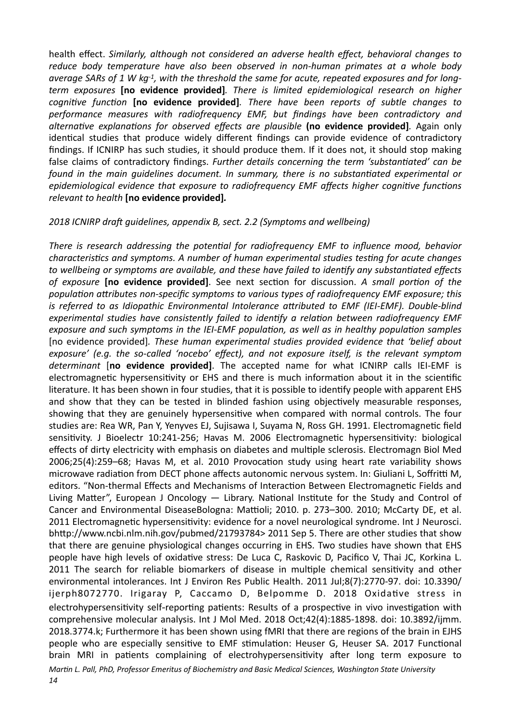health effect. *Similarly, although not considered an adverse health effect, behavioral changes to* reduce body temperature have also been observed in non-human primates at a whole body *average SARs of 1 W kg-1, with the threshold the same for acute, repeated exposures and for longterm* exposures **[no evidence provided]**. There is limited epidemiological research on higher *cognitive function* [no evidence provided]. There have been reports of subtle changes to performance measures with radiofrequency EMF, but findings have been contradictory and alternative explanations for observed effects are plausible (no evidence provided). Again only identical studies that produce widely different findings can provide evidence of contradictory findings. If ICNIRP has such studies, it should produce them. If it does not, it should stop making false claims of contradictory findings. *Further details concerning the term 'substantiated' can be found* in the main quidelines document. In summary, there is no substantiated experimental or *epidemiological evidence that exposure to radiofrequency EMF affects higher cognitive functions relevant to health* [no evidence provided].

### 2018 ICNIRP draft quidelines, appendix B, sect. 2.2 (Symptoms and wellbeing)

There is research addressing the potential for radiofrequency EMF to influence mood, behavior *characteristics and symptoms. A number of human experimental studies testing for acute changes* to wellbeing or symptoms are available, and these have failed to identify any substantiated effects *of exposure* [no evidence provided]. See next section for discussion. A small portion of the population attributes non-specific symptoms to various types of radiofrequency EMF exposure; this *is referred to as Idiopathic Environmental Intolerance attributed to EMF (IEI-EMF). Double-blind experimental studies have consistently failed to identify a relation between radiofrequency EMF* exposure and such symptoms in the IEI-EMF population, as well as in healthy population samples [no evidence provided]. These human experimental studies provided evidence that 'belief about exposure' (e.g. the so-called 'nocebo' effect), and not exposure itself, is the relevant symptom determinant [no evidence provided]. The accepted name for what ICNIRP calls IEI-EMF is electromagnetic hypersensitivity or EHS and there is much information about it in the scientific literature. It has been shown in four studies, that it is possible to identify people with apparent EHS and show that they can be tested in blinded fashion using objectively measurable responses, showing that they are genuinely hypersensitive when compared with normal controls. The four studies are: Rea WR, Pan Y, Yenyves EJ, Sujisawa I, Suyama N, Ross GH. 1991. Electromagnetic field sensitivity. J Bioelectr 10:241-256; Havas M. 2006 Electromagnetic hypersensitivity: biological effects of dirty electricity with emphasis on diabetes and multiple sclerosis. Electromagn Biol Med 2006;25(4):259-68; Havas M, et al. 2010 Provocation study using heart rate variability shows microwave radiation from DECT phone affects autonomic nervous system. In: Giuliani L, Soffritti M, editors. "Non-thermal Effects and Mechanisms of Interaction Between Electromagnetic Fields and Living Matter", European J Oncology  $-$  Library. National Institute for the Study and Control of Cancer and Environmental DiseaseBologna: Mattioli; 2010. p. 273-300. 2010; McCarty DE, et al. 2011 Electromagnetic hypersensitivity: evidence for a novel neurological syndrome. Int J Neurosci. bhttp://www.ncbi.nlm.nih.gov/pubmed/21793784> 2011 Sep 5. There are other studies that show that there are genuine physiological changes occurring in EHS. Two studies have shown that EHS people have high levels of oxidative stress: De Luca C, Raskovic D, Pacifico V, Thai JC, Korkina L. 2011 The search for reliable biomarkers of disease in multiple chemical sensitivity and other environmental intolerances. Int J Environ Res Public Health. 2011 Jul;8(7):2770-97. doi: 10.3390/ ijerph8072770. Irigaray P, Caccamo D, Belpomme D. 2018 Oxidative stress in electrohypersensitivity self-reporting patients: Results of a prospective in vivo investigation with comprehensive molecular analysis. Int J Mol Med. 2018 Oct;42(4):1885-1898. doi: 10.3892/ijmm. 2018.3774.k; Furthermore it has been shown using fMRI that there are regions of the brain in EJHS people who are especially sensitive to EMF stimulation: Heuser G, Heuser SA. 2017 Functional brain MRI in patients complaining of electrohypersensitivity after long term exposure to *Martin L. Pall, PhD, Professor Emeritus of Biochemistry and Basic Medical Sciences, Washington State University*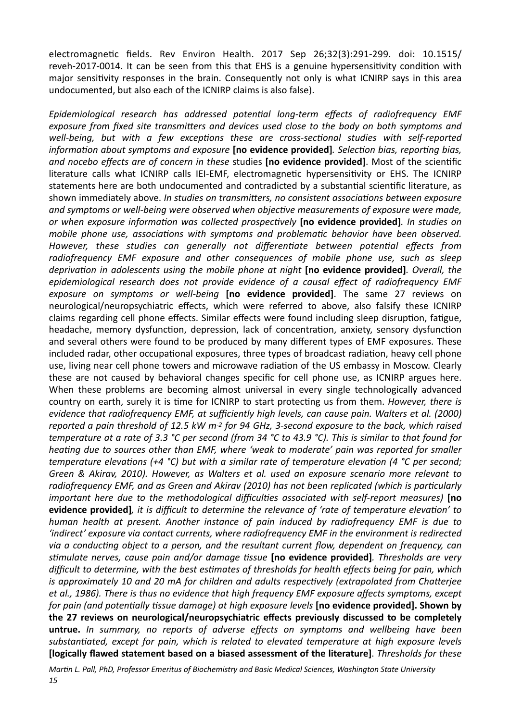electromagnetic fields. Rev Environ Health. 2017 Sep 26:32(3):291-299. doi: 10.1515/ reveh-2017-0014. It can be seen from this that EHS is a genuine hypersensitivity condition with major sensitivity responses in the brain. Consequently not only is what ICNIRP says in this area undocumented, but also each of the ICNIRP claims is also false).

Epidemiological research has addressed potential long-term effects of radiofrequency EMF *exposure from fixed site transmitters and devices used close to the body on both symptoms and well-being, but with a few exceptions these are cross-sectional studies with self-reported information about symptoms and exposure* [no evidence provided]*. Selection bias, reporting bias,* and nocebo effects are of concern in these studies [no evidence provided]. Most of the scientific literature calls what ICNIRP calls IEI-EMF, electromagnetic hypersensitivity or EHS. The ICNIRP statements here are both undocumented and contradicted by a substantial scientific literature, as shown immediately above. In studies on transmitters, no consistent associations between exposure and symptoms or well-being were observed when objective measurements of exposure were made, *or* when exposure information was collected prospectively **[no evidence provided]**. In studies on *mobile phone use, associations with symptoms and problematic behavior have been observed.* However, these studies can generally not differentiate between potential effects from radiofrequency EMF exposure and other consequences of mobile phone use, such as sleep *deprivation in adolescents using the mobile phone at night* **[no evidence provided]***. Overall, the* epidemiological research does not provide evidence of a causal effect of radiofrequency EMF exposure on symptoms or well-being [no evidence provided]. The same 27 reviews on neurological/neuropsychiatric effects, which were referred to above, also falsify these ICNIRP claims regarding cell phone effects. Similar effects were found including sleep disruption, fatigue, headache, memory dysfunction, depression, lack of concentration, anxiety, sensory dysfunction and several others were found to be produced by many different types of EMF exposures. These included radar, other occupational exposures, three types of broadcast radiation, heavy cell phone use, living near cell phone towers and microwave radiation of the US embassy in Moscow. Clearly these are not caused by behavioral changes specific for cell phone use, as ICNIRP argues here. When these problems are becoming almost universal in every single technologically advanced country on earth, surely it is time for ICNIRP to start protecting us from them. *However, there is evidence that radiofrequency EMF, at sufficiently high levels, can cause pain. Walters et al. (2000)* reported a pain threshold of 12.5 kW m<sup>-2</sup> for 94 GHz, 3-second exposure to the back, which raised *temperature at a rate of 3.3* °C per second (from 34 °C to 43.9 °C). This is similar to that found for *heating* due to sources other than EMF, where 'weak to moderate' pain was reported for smaller *temperature elevations* (+4 °C) but with a similar rate of temperature elevation (4 °C per second; Green & Akirav, 2010). However, as Walters et al. used an exposure scenario more relevant to radiofrequency EMF, and as Green and Akirav (2010) has not been replicated (which is particularly *important here due to the methodological difficulties associated with self-report measures)* [no evidence provided], it is difficult to determine the relevance of 'rate of temperature elevation' to *human* health at present. Another instance of pain induced by radiofrequency EMF is due to 'indirect' exposure via contact currents, where radiofrequency EMF in the environment is redirected via a conducting object to a person, and the resultant current flow, dependent on frequency, can stimulate nerves, cause pain and/or damage tissue **[no evidence provided**]. Thresholds are very *difficult to determine, with the best estimates of thresholds for health effects being for pain, which is* approximately 10 and 20 mA for children and adults respectively (extrapolated from Chatterjee et al., 1986). There is thus no evidence that high frequency EMF exposure affects symptoms, except *for pain (and potentially tissue damage) at high exposure levels* [no evidence provided]. Shown by the 27 reviews on neurological/neuropsychiatric effects previously discussed to be completely untrue. In summary, no reports of adverse effects on symptoms and wellbeing have been substantiated, except for pain, which is related to elevated temperature at high exposure levels **[logically flawed statement based on a biased assessment of the literature].** Thresholds for these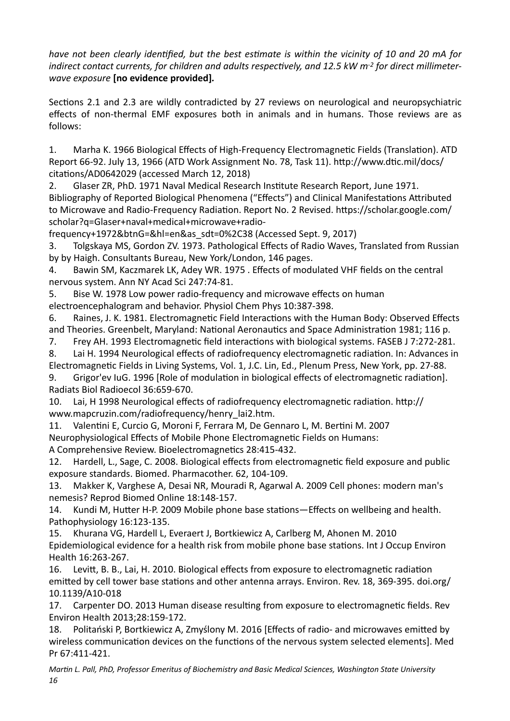*have not been clearly identified, but the best estimate is within the vicinity of 10 and 20 mA for indirect contact currents, for children and adults respectively, and 12.5 kW m<sup>-2</sup> for direct millimeterwave exposure* **[no evidence provided]***.*

Sections 2.1 and 2.3 are wildly contradicted by 27 reviews on neurological and neuropsychiatric effects of non-thermal EMF exposures both in animals and in humans. Those reviews are as follows: 

1. Marha K. 1966 Biological Effects of High-Frequency Electromagnetic Fields (Translation). ATD Report 66-92. July 13, 1966 (ATD Work Assignment No. 78, Task 11). http://www.dtic.mil/docs/ citations/AD0642029 (accessed March 12, 2018)

2. Glaser ZR, PhD. 1971 Naval Medical Research Institute Research Report, June 1971. Bibliography of Reported Biological Phenomena ("Effects") and Clinical Manifestations Attributed to Microwave and Radio-Frequency Radiation. Report No. 2 Revised. https://scholar.google.com/ scholar?q=Glaser+naval+medical+microwave+radio-

frequency+1972&btnG=&hl=en&as\_sdt=0%2C38 (Accessed Sept. 9, 2017) 

3. Tolgskaya MS, Gordon ZV. 1973. Pathological Effects of Radio Waves, Translated from Russian by by Haigh. Consultants Bureau, New York/London, 146 pages.

4. Bawin SM, Kaczmarek LK, Adey WR. 1975 . Effects of modulated VHF fields on the central nervous system. Ann NY Acad Sci 247:74-81.

5. Bise W. 1978 Low power radio-frequency and microwave effects on human electroencephalogram and behavior. Physiol Chem Phys 10:387-398.

6. Raines, J. K. 1981. Electromagnetic Field Interactions with the Human Body: Observed Effects and Theories. Greenbelt, Maryland: National Aeronautics and Space Administration 1981; 116 p.

7. Frey AH. 1993 Electromagnetic field interactions with biological systems. FASEB J 7:272-281.

8. Lai H. 1994 Neurological effects of radiofrequency electromagnetic radiation. In: Advances in Electromagnetic Fields in Living Systems, Vol. 1, J.C. Lin, Ed., Plenum Press, New York, pp. 27-88.

9. Grigor'ev IuG. 1996 [Role of modulation in biological effects of electromagnetic radiation]. Radiats Biol Radioecol 36:659-670. 

10. Lai, H 1998 Neurological effects of radiofrequency electromagnetic radiation. http:// www.mapcruzin.com/radiofrequency/henry\_lai2.htm. 

11. Valentini E, Curcio G, Moroni F, Ferrara M, De Gennaro L, M. Bertini M. 2007 Neurophysiological Effects of Mobile Phone Electromagnetic Fields on Humans: A Comprehensive Review. Bioelectromagnetics 28:415-432.

12. Hardell, L., Sage, C. 2008. Biological effects from electromagnetic field exposure and public exposure standards. Biomed. Pharmacother. 62, 104-109.

13. Makker K, Varghese A, Desai NR, Mouradi R, Agarwal A. 2009 Cell phones: modern man's nemesis? Reprod Biomed Online 18:148-157.

14. Kundi M, Hutter H-P. 2009 Mobile phone base stations—Effects on wellbeing and health. Pathophysiology 16:123-135.

15. Khurana VG, Hardell L, Everaert J, Bortkiewicz A, Carlberg M, Ahonen M. 2010 Epidemiological evidence for a health risk from mobile phone base stations. Int J Occup Environ Health 16:263-267. 

16. Levitt, B. B., Lai, H. 2010. Biological effects from exposure to electromagnetic radiation emitted by cell tower base stations and other antenna arrays. Environ. Rev. 18, 369-395. doi.org/ 10.1139/A10-018 

17. Carpenter DO. 2013 Human disease resulting from exposure to electromagnetic fields. Rev Environ Health 2013;28:159-172. 

18. Politański P, Bortkiewicz A, Zmyślony M. 2016 [Effects of radio- and microwaves emitted by wireless communication devices on the functions of the nervous system selected elements]. Med Pr 67:411-421.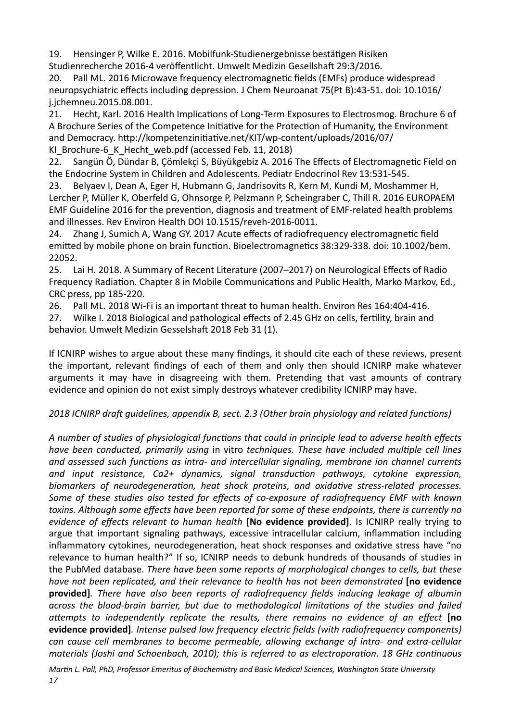19. Hensinger P, Wilke E, 2016. Mobilfunk-Studienergebnisse bestätigen Risiken Studienrecherche 2016-4 veröffentlicht. Umwelt Medizin Gesellshaft 29:3/2016.

20. Pall ML. 2016 Microwave frequency electromagnetic fields (EMFs) produce widespread neuropsychiatric effects including depression. J Chem Neuroanat 75(Pt B):43-51. doi: 10.1016/ j.jchemneu.2015.08.001. 

21. Hecht, Karl. 2016 Health Implications of Long-Term Exposures to Electrosmog. Brochure 6 of A Brochure Series of the Competence Initiative for the Protection of Humanity, the Environment and Democracy. http://kompetenzinitiative.net/KIT/wp-content/uploads/2016/07/ KI Brochure-6 K Hecht web.pdf (accessed Feb. 11, 2018)

22. Sangün Ö, Dündar B, Çömlekçi S, Büyükgebiz A. 2016 The Effects of Electromagnetic Field on the Endocrine System in Children and Adolescents. Pediatr Endocrinol Rev 13:531-545.

23. Belyaev I, Dean A, Eger H, Hubmann G, Jandrisovits R, Kern M, Kundi M, Moshammer H, Lercher P, Müller K, Oberfeld G, Ohnsorge P, Pelzmann P, Scheingraber C, Thill R. 2016 EUROPAEM EMF Guideline 2016 for the prevention, diagnosis and treatment of EMF-related health problems and illnesses. Rev Environ Health DOI 10.1515/reveh-2016-0011.

24. Zhang J, Sumich A, Wang GY. 2017 Acute effects of radiofrequency electromagnetic field emitted by mobile phone on brain function. Bioelectromagnetics 38:329-338. doi: 10.1002/bem. 22052. 

25. Lai H. 2018. A Summary of Recent Literature (2007–2017) on Neurological Effects of Radio Frequency Radiation. Chapter 8 in Mobile Communications and Public Health, Marko Markov, Ed., CRC press, pp 185-220.

26. Pall ML, 2018 Wi-Fi is an important threat to human health. Environ Res 164:404-416.

27. Wilke I. 2018 Biological and pathological effects of 2.45 GHz on cells, fertility, brain and behavior. Umwelt Medizin Gesselshaft 2018 Feb 31 (1).

If ICNIRP wishes to argue about these many findings, it should cite each of these reviews, present the important, relevant findings of each of them and only then should ICNIRP make whatever arguments it may have in disagreeing with them. Pretending that vast amounts of contrary evidence and opinion do not exist simply destroys whatever credibility ICNIRP may have.

## 2018 ICNIRP draft guidelines, appendix B, sect. 2.3 (Other brain physiology and related functions)

A number of studies of physiological functions that could in principle lead to adverse health effects *have been conducted, primarily using in vitro techniques. These have included multiple cell lines* and assessed such functions as intra- and intercellular signaling, membrane ion channel currents and input resistance, Ca2+ dynamics, signal transduction pathways, cytokine expression, biomarkers of neurodegeneration, heat shock proteins, and oxidative stress-related processes. Some of these studies also tested for effects of co-exposure of radiofrequency EMF with known toxins. Although some effects have been reported for some of these endpoints, there is currently no *evidence of effects relevant to human health* **[No evidence provided]**. Is ICNIRP really trying to argue that important signaling pathways, excessive intracellular calcium, inflammation including inflammatory cytokines, neurodegeneration, heat shock responses and oxidative stress have "no relevance to human health?" If so, ICNIRP needs to debunk hundreds of thousands of studies in the PubMed database. There have been some reports of morphological changes to cells, but these *have not been replicated, and their relevance to health has not been demonstrated* [no evidence **provided**]. There have also been reports of radiofrequency fields inducing leakage of albumin *across the blood-brain barrier, but due to methodological limitations of the studies and failed* attempts to independently replicate the results, there remains no evidence of an effect *[no* **evidence provided**]*. Intense pulsed low frequency electric fields (with radiofrequency components) can* cause cell membranes to become permeable, allowing exchange of intra- and extra-cellular *materials* (Joshi and Schoenbach, 2010); this is referred to as electroporation. 18 GHz continuous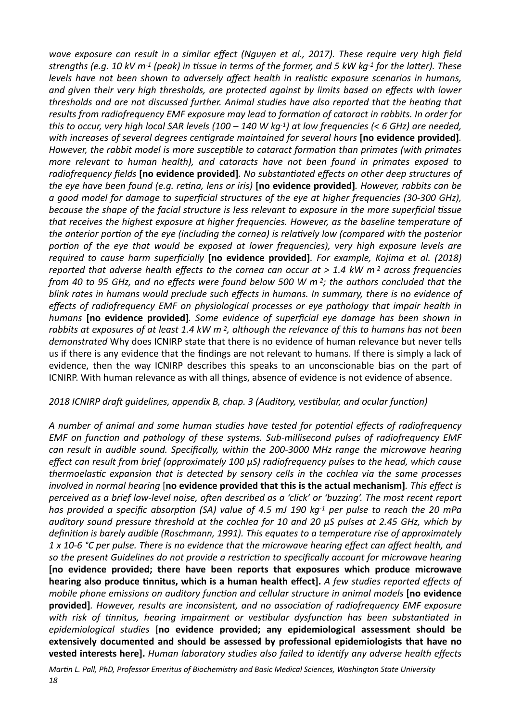wave exposure can result in a similar effect (Nguyen et al., 2017). These require very high field *strengths* (e.g. 10 kV m<sup>-1</sup> (peak) in tissue in terms of the former, and 5 kW kg<sup>-1</sup> for the latter). These *levels have not been shown to adversely affect health in realistic exposure scenarios in humans,* and aiven their very high thresholds, are protected gaginst by limits based on effects with lower thresholds and are not discussed further. Animal studies have also reported that the heating that results from radiofrequency EMF exposure may lead to formation of cataract in rabbits. In order for *this* to occur, very high local SAR levels  $(100 - 140 \text{ W kg-1})$  at low frequencies  $(< 6 \text{ GHz})$  are needed, *with increases of several degrees centigrade maintained for several hours* [no evidence provided]. *However, the rabbit model is more susceptible to cataract formation than primates (with primates more relevant to human health), and cataracts have not been found in primates exposed to* radiofrequency fields **[no evidence provided]**. No substantiated effects on other deep structures of *the eye have been found (e.g. reting, lens or iris)* [no evidence provided]. *However, rabbits can be a* good model for damage to superficial structures of the eye at higher frequencies (30-300 GHz), *because the shape of the facial structure is less relevant to exposure in the more superficial tissue* that receives the highest exposure at higher frequencies. However, as the baseline temperature of *the anterior portion of the eye (including the cornea) is relatively low (compared with the posterior* portion of the eye that would be exposed at lower frequencies), very high exposure levels are *required* to cause harm superficially **[no evidence provided]***. For example, Kojima et al.* (2018) *reported that adverse health effects to the cornea can occur at > 1.4 kW m<sup>-2</sup> across frequencies from* 40 to 95 GHz, and no effects were found below 500 W m-2; the authors concluded that the blink rates in humans would preclude such effects in humans. In summary, there is no evidence of *effects* of radiofrequency EMF on physiological processes or eye pathology that impair health in *humans* [no evidence provided]. Some evidence of superficial eye damage has been shown in rabbits at exposures of at least 1.4 kW m<sup>-2</sup>, although the relevance of this to humans has not been demonstrated Why does ICNIRP state that there is no evidence of human relevance but never tells us if there is any evidence that the findings are not relevant to humans. If there is simply a lack of evidence, then the way ICNIRP describes this speaks to an unconscionable bias on the part of ICNIRP. With human relevance as with all things, absence of evidence is not evidence of absence.

### 2018 ICNIRP draft quidelines, appendix B, chap. 3 (Auditory, vestibular, and ocular function)

A number of animal and some human studies have tested for potential effects of radiofrequency *EMF* on function and pathology of these systems. Sub-millisecond pulses of radiofrequency EMF *can result in audible sound. Specifically, within the 200-3000 MHz range the microwave hearing effect can result from brief (approximately 100 μS) radiofrequency pulses to the head, which cause thermoelastic expansion that is detected by sensory cells in the cochlea via the same processes involved in normal hearing* [no evidence provided that this is the actual mechanism]. This effect is *perceived as a brief low-level noise, often described as a 'click' or 'buzzing'. The most recent report has provided a specific absorption (SA) value of 4.5 mJ 190 kg-1 per pulse to reach the 20 mPa auditory sound pressure threshold at the cochlea for 10 and 20 μS pulses at 2.45 GHz, which by* definition is barely audible (Roschmann, 1991). This equates to a temperature rise of approximately 1 x 10-6 °C per pulse. There is no evidence that the microwave hearing effect can affect health, and so the present Guidelines do not provide a restriction to specifically account for microwave hearing [no evidence provided; there have been reports that exposures which produce microwave **hearing also produce tinnitus, which is a human health effect].** A few studies reported effects of *mobile phone emissions on auditory function and cellular structure in animal models* [no evidence **provided]***. However, results are inconsistent, and no association of radiofrequency EMF exposure with* risk of tinnitus, hearing impairment or vestibular dysfunction has been substantiated in *epidemiological studies*  [**no evidence provided; any epidemiological assessment should be**  extensively documented and should be assessed by professional epidemiologists that have no **vested interests here].** *Human laboratory studies also failed to identify any adverse health effects*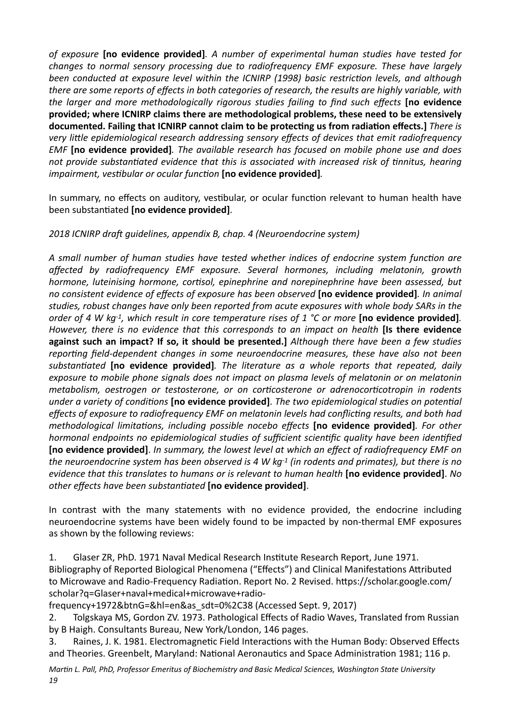of exposure **[no evidence provided]**. A number of experimental human studies have tested for *changes to normal sensory processing due to radiofrequency EMF exposure. These have largely been conducted at exposure level within the ICNIRP* (1998) basic restriction levels, and although *there are some reports of effects in both categories of research, the results are highly variable, with the larger and more methodologically rigorous studies failing to find such effects* **[no evidence** provided; where ICNIRP claims there are methodological problems, these need to be extensively documented. Failing that ICNIRP cannot claim to be protecting us from radiation effects.] *There is* very little epidemiological research addressing sensory effects of devices that emit radiofrequency *EMF* [no evidence provided]. The available research has focused on mobile phone use and does not provide substantiated evidence that this is associated with increased risk of tinnitus, hearing *impairment, vestibular or ocular function* [no evidence provided].

In summary, no effects on auditory, vestibular, or ocular function relevant to human health have been substantiated [no evidence provided].

### 2018 ICNIRP draft quidelines, appendix B, chap. 4 (Neuroendocrine system)

A small number of human studies have tested whether indices of endocrine system function are *affected by radiofrequency EMF exposure. Several hormones, including melatonin, growth hormone, luteinising hormone, cortisol, epinephrine and norepinephrine have been assessed, but no* consistent evidence of effects of exposure has been observed [no evidence provided]. In animal studies, robust changes have only been reported from acute exposures with whole body SARs in the *order* of 4 W kg-1, which result in core temperature rises of 1 °C or more [no evidence provided]. *However, there is no evidence that this corresponds to an impact on health* [Is there evidence **against such an impact? If so, it should be presented.]** Although there have been a few studies reporting field-dependent changes in some neuroendocrine measures, these have also not been substantiated **[no evidence provided]**. The literature as a whole reports that repeated, daily exposure to mobile phone signals does not impact on plasma levels of melatonin or on melatonin *metabolism, oestrogen or testosterone, or on corticosterone or adrenocorticotropin in rodents under a variety of conditions* [no evidence provided]. The two epidemiological studies on potential effects of exposure to radiofrequency EMF on melatonin levels had conflicting results, and both had *methodological limitations, including possible nocebo effects* [no evidence provided]. For other *hormonal endpoints no epidemiological studies of sufficient scientific quality have been identified* [no evidence provided]. In summary, the lowest level at which an effect of radiofrequency EMF on *the neuroendocrine system has been observed is 4 W kg-1 (in rodents and primates), but there is no evidence that this translates to humans or is relevant to human health* [no evidence provided]. No *other effects have been substantiated* [no evidence provided].

In contrast with the many statements with no evidence provided, the endocrine including neuroendocrine systems have been widely found to be impacted by non-thermal EMF exposures as shown by the following reviews:

1. Glaser ZR, PhD. 1971 Naval Medical Research Institute Research Report, June 1971. Bibliography of Reported Biological Phenomena ("Effects") and Clinical Manifestations Attributed to Microwave and Radio-Frequency Radiation. Report No. 2 Revised. https://scholar.google.com/ scholar?q=Glaser+naval+medical+microwave+radio-

frequency+1972&btnG=&hl=en&as\_sdt=0%2C38 (Accessed Sept. 9, 2017) 

2. Tolgskaya MS, Gordon ZV. 1973. Pathological Effects of Radio Waves, Translated from Russian by B Haigh. Consultants Bureau, New York/London, 146 pages.

3. Raines, J. K. 1981. Electromagnetic Field Interactions with the Human Body: Observed Effects and Theories. Greenbelt, Maryland: National Aeronautics and Space Administration 1981; 116 p.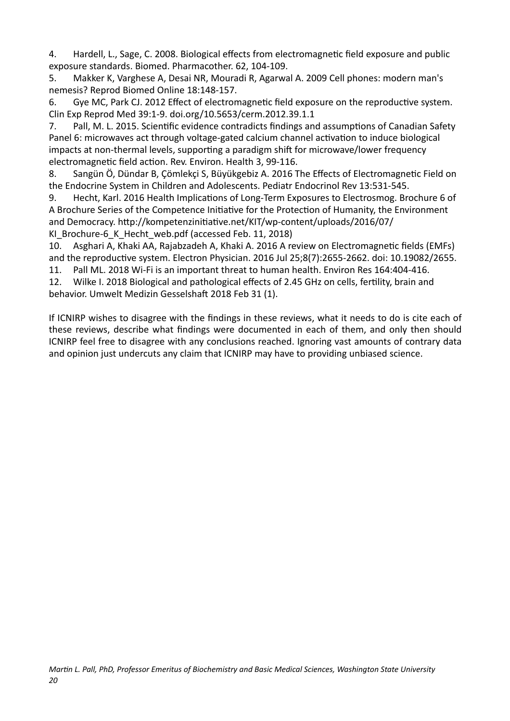4. Hardell, L., Sage, C. 2008. Biological effects from electromagnetic field exposure and public exposure standards. Biomed. Pharmacother. 62, 104-109.

5. Makker K, Varghese A, Desai NR, Mouradi R, Agarwal A. 2009 Cell phones: modern man's nemesis? Reprod Biomed Online 18:148-157.

6. Gye MC, Park CJ. 2012 Effect of electromagnetic field exposure on the reproductive system. Clin Exp Reprod Med 39:1-9. doi.org/10.5653/cerm.2012.39.1.1 

7. Pall, M. L. 2015. Scientific evidence contradicts findings and assumptions of Canadian Safety Panel 6: microwaves act through voltage-gated calcium channel activation to induce biological impacts at non-thermal levels, supporting a paradigm shift for microwave/lower frequency electromagnetic field action. Rev. Environ. Health 3, 99-116.

8. Sangün Ö, Dündar B, Cömlekci S, Büyükgebiz A. 2016 The Effects of Electromagnetic Field on the Endocrine System in Children and Adolescents. Pediatr Endocrinol Rev 13:531-545.

9. Hecht, Karl. 2016 Health Implications of Long-Term Exposures to Electrosmog. Brochure 6 of A Brochure Series of the Competence Initiative for the Protection of Humanity, the Environment and Democracy. http://kompetenzinitiative.net/KIT/wp-content/uploads/2016/07/ KI Brochure-6 K Hecht web.pdf (accessed Feb. 11, 2018)

10. Asghari A, Khaki AA, Rajabzadeh A, Khaki A. 2016 A review on Electromagnetic fields (EMFs) and the reproductive system. Electron Physician. 2016 Jul 25;8(7):2655-2662. doi: 10.19082/2655.

11. Pall ML. 2018 Wi-Fi is an important threat to human health. Environ Res 164:404-416.

12. Wilke I. 2018 Biological and pathological effects of 2.45 GHz on cells, fertility, brain and behavior. Umwelt Medizin Gesselshaft 2018 Feb 31 (1).

If ICNIRP wishes to disagree with the findings in these reviews, what it needs to do is cite each of these reviews, describe what findings were documented in each of them, and only then should ICNIRP feel free to disagree with any conclusions reached. Ignoring vast amounts of contrary data and opinion just undercuts any claim that ICNIRP may have to providing unbiased science.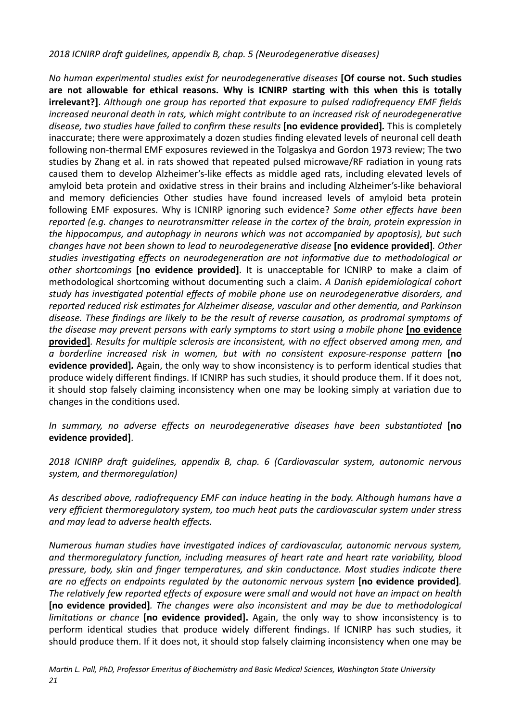### 2018 ICNIRP draft quidelines, appendix B, chap. 5 (Neurodegenerative diseases)

*No human experimental studies exist for neurodegenerative diseases* [Of course not. Such studies are not allowable for ethical reasons. Why is ICNIRP starting with this when this is totally **irrelevant?]**. Although one group has reported that exposure to pulsed radiofrequency EMF fields *increased neuronal death in rats, which might contribute to an increased risk of neurodegenerative* disease, two studies have failed to confirm these results **[no evidence provided]**. This is completely inaccurate; there were approximately a dozen studies finding elevated levels of neuronal cell death following non-thermal EMF exposures reviewed in the Tolgaskya and Gordon 1973 review; The two studies by Zhang et al. in rats showed that repeated pulsed microwave/RF radiation in young rats caused them to develop Alzheimer's-like effects as middle aged rats, including elevated levels of amyloid beta protein and oxidative stress in their brains and including Alzheimer's-like behavioral and memory deficiencies Other studies have found increased levels of amyloid beta protein following EMF exposures. Why is ICNIRP ignoring such evidence? Some other effects have been *reported* (e.g. changes to neurotransmitter release in the cortex of the brain, protein expression in *the hippocampus, and autophagy in neurons which was not accompanied by apoptosis), but such changes have not been shown to lead to neurodegenerative disease* [no evidence provided]. Other studies investigating effects on neurodegeneration are not informative due to methodological or other shortcomings **[no evidence provided]**. It is unacceptable for ICNIRP to make a claim of methodological shortcoming without documenting such a claim. A Danish epidemiological cohort study has investigated potential effects of mobile phone use on neurodegenerative disorders, and reported reduced risk estimates for Alzheimer disease, vascular and other dementia, and Parkinson disease. These findings are likely to be the result of reverse causation, as prodromal symptoms of *the disease may prevent persons with early symptoms to start using a mobile phone* [no evidence **provided]**. Results for multiple sclerosis are inconsistent, with no effect observed among men, and *a* borderline increased risk in women, but with no consistent exposure-response pattern [no **evidence provided]**. Again, the only way to show inconsistency is to perform identical studies that produce widely different findings. If ICNIRP has such studies, it should produce them. If it does not, it should stop falsely claiming inconsistency when one may be looking simply at variation due to changes in the conditions used.

*In summary, no adverse effects on neurodegenerative diseases have been substantiated* [no **evidence provided]**.

2018 ICNIRP draft guidelines, appendix B, chap. 6 (Cardiovascular system, autonomic nervous system, and thermoregulation)

As described above, radiofrequency EMF can induce heating in the body. Although humans have a very efficient thermoregulatory system, too much heat puts the cardiovascular system under stress and may lead to adverse health effects.

*Numerous human studies have investigated indices of cardiovascular, autonomic nervous system,* and thermoregulatory function, including measures of heart rate and heart rate variability, blood *pressure, body, skin and finger temperatures, and skin conductance. Most studies indicate there are no effects on endpoints regulated by the autonomic nervous system* [no evidence provided]. The relatively few reported effects of exposure were small and would not have an impact on health **[no evidence provided]**. The changes were also inconsistent and may be due to methodological *limitations or chance* [no evidence provided]. Again, the only way to show inconsistency is to perform identical studies that produce widely different findings. If ICNIRP has such studies, it should produce them. If it does not, it should stop falsely claiming inconsistency when one may be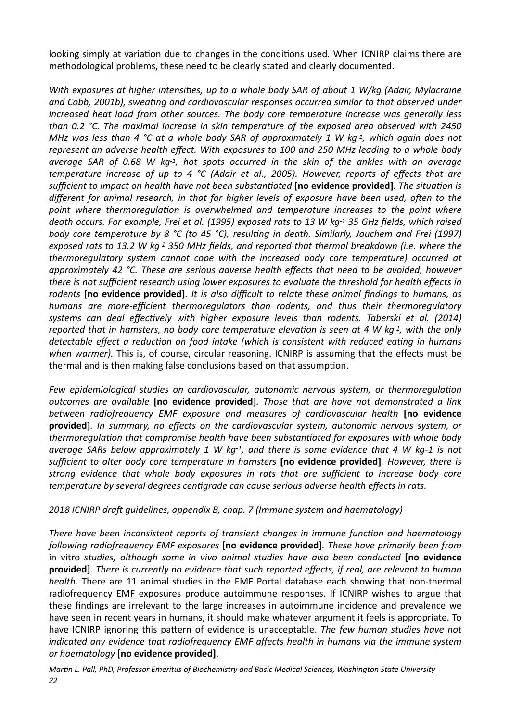looking simply at variation due to changes in the conditions used. When ICNIRP claims there are methodological problems, these need to be clearly stated and clearly documented.

*With exposures at higher intensities, up to a whole body SAR of about 1 W/kg (Adair, Mylacraine* and Cobb, 2001b), sweating and cardiovascular responses occurred similar to that observed under *increased heat load from other sources. The body core temperature increase was generally less* than 0.2 °C. The maximal increase in skin temperature of the exposed area observed with 2450 *MHz* was less than 4 °C at a whole body SAR of approximately 1 W kg-1, which again does not represent an adverse health effect. With exposures to 100 and 250 MHz leading to a whole body *average* SAR of 0.68 W kg<sup>-1</sup>, hot spots occurred in the skin of the ankles with an average *temperature increase of up to 4 °C (Adair et al., 2005). However, reports of effects that are* sufficient to impact on health have not been substantiated **[no evidence provided]**. The situation is *different for animal research, in that far higher levels of exposure have been used, often to the* point where thermoregulation is overwhelmed and temperature increases to the point where death occurs. For example, Frei et al. (1995) exposed rats to 13 W kg<sup>-1</sup> 35 GHz fields, which raised *body* core temperature by 8 °C (to 45 °C), resulting in death. Similarly, Jauchem and Frei (1997) exposed rats to 13.2 W kg-<sup>1</sup> 350 MHz fields, and reported that thermal breakdown (i.e. where the *thermoregulatory system cannot cope with the increased body core temperature)* occurred at approximately 42 °C. These are serious adverse health effects that need to be avoided, however *there is not sufficient research using lower exposures to evaluate the threshold for health effects in* rodents **[no evidence provided]**. It is also difficult to relate these animal findings to humans, as *humans are more-efficient thermoregulators than rodents, and thus their thermoregulatory* systems can deal effectively with higher exposure levels than rodents. Taberski et al. (2014) *reported* that in hamsters, no body core temperature elevation is seen at 4 W kg-1, with the only *detectable effect a reduction on food intake (which is consistent with reduced eating in humans* when warmer). This is, of course, circular reasoning. ICNIRP is assuming that the effects must be thermal and is then making false conclusions based on that assumption.

Few epidemiological studies on cardiovascular, autonomic nervous system, or thermoregulation *outcomes are available* [no evidence provided]. Those that are have not demonstrated a link between radiofrequency EMF exposure and measures of cardiovascular health [no evidence provided]. In summary, no effects on the cardiovascular system, autonomic nervous system, or thermoregulation that compromise health have been substantiated for exposures with whole body *average SARs below approximately* 1 W kg-1, and there is some evidence that 4 W kg-1 is not *sufficient to alter body core temperature in hamsters* [no evidence provided]. However, there is strong evidence that whole body exposures in rats that are sufficient to increase body core *temperature by several degrees centigrade can cause serious adverse health effects in rats.* 

### 2018 ICNIRP draft guidelines, appendix B, chap. 7 (Immune system and haematology)

There have been inconsistent reports of transient changes in immune function and haematology *following radiofrequency EMF exposures* [no evidence provided]. These have primarily been from in vitro studies, although some in vivo animal studies have also been conducted **[no evidence provided**]. There is currently no evidence that such reported effects, if real, are relevant to human *health*. There are 11 animal studies in the EMF Portal database each showing that non-thermal radiofrequency EMF exposures produce autoimmune responses. If ICNIRP wishes to argue that these findings are irrelevant to the large increases in autoimmune incidence and prevalence we have seen in recent years in humans, it should make whatever argument it feels is appropriate. To have ICNIRP ignoring this pattern of evidence is unacceptable. *The few human studies have not indicated any evidence that radiofrequency EMF affects health in humans via the immune system or haematology* **[no evidence provided]**.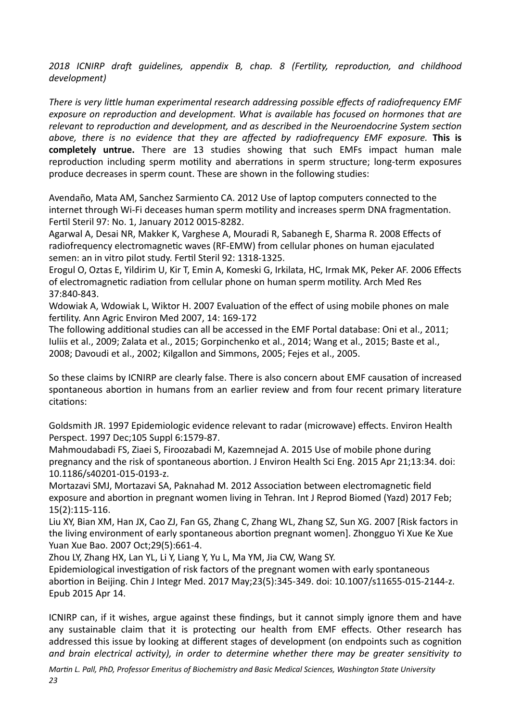2018 ICNIRP draft guidelines, appendix B, chap. 8 (Fertility, reproduction, and childhood *development)* 

There is very little human experimental research addressing possible effects of radiofrequency EMF exposure on reproduction and development. What is available has focused on hormones that are relevant to reproduction and development, and as described in the Neuroendocrine System section above, there is no evidence that they are affected by radiofrequency EMF exposure. This is **completely untrue.** There are 13 studies showing that such EMFs impact human male reproduction including sperm motility and aberrations in sperm structure; long-term exposures produce decreases in sperm count. These are shown in the following studies:

Avendaño, Mata AM, Sanchez Sarmiento CA. 2012 Use of laptop computers connected to the internet through Wi-Fi deceases human sperm motility and increases sperm DNA fragmentation. Fertil Steril 97: No. 1, January 2012 0015-8282.

Agarwal A, Desai NR, Makker K, Varghese A, Mouradi R, Sabanegh E, Sharma R. 2008 Effects of radiofrequency electromagnetic waves (RF-EMW) from cellular phones on human ejaculated semen: an in vitro pilot study. Fertil Steril 92: 1318-1325.

Erogul O, Oztas E, Yildirim U, Kir T, Emin A, Komeski G, Irkilata, HC, Irmak MK, Peker AF. 2006 Effects of electromagnetic radiation from cellular phone on human sperm motility. Arch Med Res 37:840-843. 

Wdowiak A, Wdowiak L, Wiktor H, 2007 Evaluation of the effect of using mobile phones on male fertility. Ann Agric Environ Med 2007, 14: 169-172

The following additional studies can all be accessed in the EMF Portal database: Oni et al., 2011; Iuliis et al., 2009; Zalata et al., 2015; Gorpinchenko et al., 2014; Wang et al., 2015; Baste et al., 2008; Davoudi et al., 2002; Kilgallon and Simmons, 2005; Fejes et al., 2005.

So these claims by ICNIRP are clearly false. There is also concern about EMF causation of increased spontaneous abortion in humans from an earlier review and from four recent primary literature citations:

Goldsmith JR. 1997 Epidemiologic evidence relevant to radar (microwave) effects. Environ Health Perspect. 1997 Dec;105 Suppl 6:1579-87.

Mahmoudabadi FS, Ziaei S, Firoozabadi M, Kazemnejad A. 2015 Use of mobile phone during pregnancy and the risk of spontaneous abortion. J Environ Health Sci Eng. 2015 Apr 21;13:34. doi: 10.1186/s40201-015-0193-z. 

Mortazavi SMJ, Mortazavi SA, Paknahad M. 2012 Association between electromagnetic field exposure and abortion in pregnant women living in Tehran. Int J Reprod Biomed (Yazd) 2017 Feb; 15(2):115-116. 

Liu XY, Bian XM, Han JX, Cao ZJ, Fan GS, Zhang C, Zhang WL, Zhang SZ, Sun XG. 2007 [Risk factors in the living environment of early spontaneous abortion pregnant women]. Zhongguo Yi Xue Ke Xue Yuan Xue Bao. 2007 Oct; 29(5): 661-4.

Zhou LY, Zhang HX, Lan YL, Li Y, Liang Y, Yu L, Ma YM, Jia CW, Wang SY.

Epidemiological investigation of risk factors of the pregnant women with early spontaneous abortion in Beijing. Chin J Integr Med. 2017 May;23(5):345-349. doi: 10.1007/s11655-015-2144-z. Epub 2015 Apr 14. 

ICNIRP can, if it wishes, argue against these findings, but it cannot simply ignore them and have any sustainable claim that it is protecting our health from EMF effects. Other research has addressed this issue by looking at different stages of development (on endpoints such as cognition *and brain electrical activity), in order to determine whether there may be greater sensitivity to*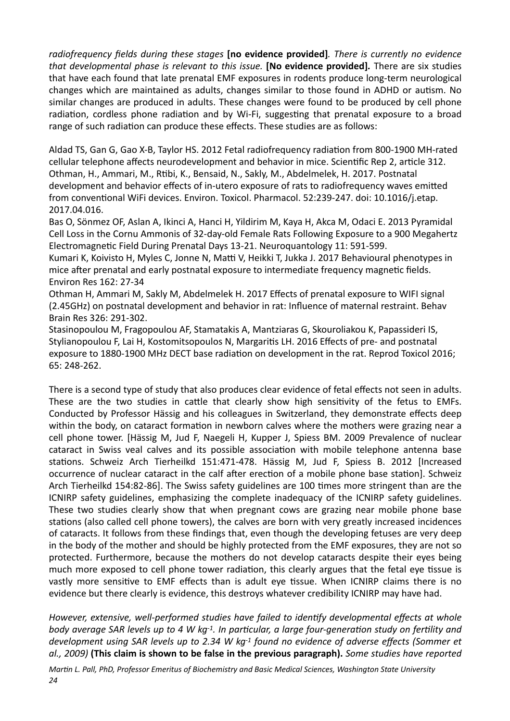radiofrequency fields during these stages **[no evidence provided]**. There is currently no evidence *that developmental phase is relevant to this issue.* [No evidence provided]. There are six studies that have each found that late prenatal EMF exposures in rodents produce long-term neurological changes which are maintained as adults, changes similar to those found in ADHD or autism. No similar changes are produced in adults. These changes were found to be produced by cell phone radiation, cordless phone radiation and by Wi-Fi, suggesting that prenatal exposure to a broad range of such radiation can produce these effects. These studies are as follows:

Aldad TS, Gan G, Gao X-B, Taylor HS. 2012 Fetal radiofrequency radiation from 800-1900 MH-rated cellular telephone affects neurodevelopment and behavior in mice. Scientific Rep 2, article 312. Othman, H., Ammari, M., Rtibi, K., Bensaid, N., Sakly, M., Abdelmelek, H. 2017. Postnatal development and behavior effects of in-utero exposure of rats to radiofrequency waves emitted from conventional WiFi devices. Environ. Toxicol. Pharmacol. 52:239-247. doi: 10.1016/j.etap. 2017.04.016. 

Bas O, Sönmez OF, Aslan A, Ikinci A, Hanci H, Yildirim M, Kaya H, Akca M, Odaci E. 2013 Pyramidal Cell Loss in the Cornu Ammonis of 32-day-old Female Rats Following Exposure to a 900 Megahertz Electromagnetic Field During Prenatal Days 13-21. Neuroquantology 11: 591-599.

Kumari K, Koivisto H, Myles C, Jonne N, Matti V, Heikki T, Jukka J. 2017 Behavioural phenotypes in mice after prenatal and early postnatal exposure to intermediate frequency magnetic fields. Environ Res 162: 27-34 

Othman H, Ammari M, Sakly M, Abdelmelek H. 2017 Effects of prenatal exposure to WIFI signal (2.45GHz) on postnatal development and behavior in rat: Influence of maternal restraint. Behav Brain Res 326: 291-302. 

Stasinopoulou M, Fragopoulou AF, Stamatakis A, Mantziaras G, Skouroliakou K, Papassideri IS, Stylianopoulou F, Lai H, Kostomitsopoulos N, Margaritis LH. 2016 Effects of pre- and postnatal exposure to 1880-1900 MHz DECT base radiation on development in the rat. Reprod Toxicol 2016; 65: 248-262. 

There is a second type of study that also produces clear evidence of fetal effects not seen in adults. These are the two studies in cattle that clearly show high sensitivity of the fetus to EMFs. Conducted by Professor Hässig and his colleagues in Switzerland, they demonstrate effects deep within the body, on cataract formation in newborn calves where the mothers were grazing near a cell phone tower. [Hässig M, Jud F, Naegeli H, Kupper J, Spiess BM. 2009 Prevalence of nuclear cataract in Swiss veal calves and its possible association with mobile telephone antenna base stations. Schweiz Arch Tierheilkd 151:471-478. Hässig M, Jud F, Spiess B. 2012 [Increased occurrence of nuclear cataract in the calf after erection of a mobile phone base station]. Schweiz Arch Tierheilkd 154:82-86]. The Swiss safety guidelines are 100 times more stringent than are the ICNIRP safety guidelines, emphasizing the complete inadequacy of the ICNIRP safety guidelines. These two studies clearly show that when pregnant cows are grazing near mobile phone base stations (also called cell phone towers), the calves are born with very greatly increased incidences of cataracts. It follows from these findings that, even though the developing fetuses are very deep in the body of the mother and should be highly protected from the EMF exposures, they are not so protected. Furthermore, because the mothers do not develop cataracts despite their eyes being much more exposed to cell phone tower radiation, this clearly argues that the fetal eye tissue is vastly more sensitive to EMF effects than is adult eye tissue. When ICNIRP claims there is no evidence but there clearly is evidence, this destroys whatever credibility ICNIRP may have had.

However, extensive, well-performed studies have failed to identify developmental effects at whole *body* average SAR levels up to 4 W kg<sup>-1</sup>. In particular, a large four-generation study on fertility and development using SAR levels up to 2.34 W kg<sup>-1</sup> found no evidence of adverse effects (Sommer et al., 2009) (This claim is shown to be false in the previous paragraph). *Some studies have reported*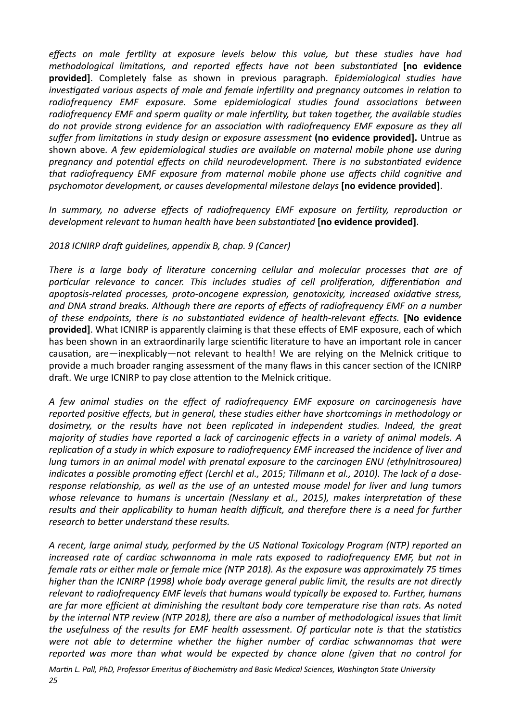effects on male fertility at exposure levels below this value, but these studies have had *methodological limitations, and reported effects have not been substantiated* [no evidence provided]. Completely false as shown in previous paragraph. *Epidemiological studies have investigated various aspects of male and female infertility and pregnancy outcomes in relation to* radiofrequency EMF exposure. Some epidemiological studies found associations between radiofrequency EMF and sperm quality or male infertility, but taken together, the available studies *do* not provide strong evidence for an association with radiofrequency EMF exposure as they all suffer from limitations in study design or exposure assessment (no evidence provided]. Untrue as shown above. A few epidemiological studies are available on maternal mobile phone use during *pregnancy and potential effects on child neurodevelopment. There is no substantiated evidence that radiofrequency EMF exposure from maternal mobile phone use affects child cognitive and* psychomotor development, or causes developmental milestone delays [no evidence provided].

*In summary, no adverse effects of radiofrequency EMF exposure on fertility, reproduction or development relevant to human health have been substantiated* **[no evidence provided]**.

### 2018 ICNIRP draft guidelines, appendix B, chap. 9 (Cancer)

*There is a large body of literature concerning cellular and molecular processes that are of* particular relevance to cancer. This includes studies of cell proliferation, differentiation and *apoptosis-related processes, proto-oncogene expression, genotoxicity, increased oxidative stress,* and DNA strand breaks. Although there are reports of effects of radiofrequency EMF on a number *of these endpoints, there is no substantiated evidence of health-relevant effects.* [No evidence **provided]**. What ICNIRP is apparently claiming is that these effects of EMF exposure, each of which has been shown in an extraordinarily large scientific literature to have an important role in cancer causation, are—inexplicably—not relevant to health! We are relying on the Melnick critique to provide a much broader ranging assessment of the many flaws in this cancer section of the ICNIRP draft. We urge ICNIRP to pay close attention to the Melnick critique.

*A few animal studies on the effect of radiofrequency EMF exposure on carcinogenesis have*  reported positive effects, but in general, these studies either have shortcomings in methodology or dosimetry, or the results have not been replicated in independent studies. Indeed, the great *majority* of studies have reported a lack of carcinogenic effects in a variety of animal models. A replication of a study in which exposure to radiofrequency EMF increased the incidence of liver and *lung* tumors in an animal model with prenatal exposure to the carcinogen ENU (ethylnitrosourea) *indicates a possible promoting effect (Lerchl et al., 2015; Tillmann et al., 2010). The lack of a doseresponse relationship, as well as the use of an untested mouse model for liver and lung tumors* whose relevance to humans is uncertain (Nesslany et al., 2015), makes interpretation of these results and their applicability to human health difficult, and therefore there is a need for further *research to better understand these results.* 

*A* recent, large animal study, performed by the US National Toxicology Program (NTP) reported an *increased rate of cardiac schwannoma in male rats exposed to radiofrequency EMF, but not in female rats or either male or female mice (NTP 2018). As the exposure was approximately 75 times higher than the ICNIRP* (1998) whole body average general public limit, the results are not directly relevant to radiofrequency EMF levels that humans would typically be exposed to. Further, humans are far more efficient at diminishing the resultant body core temperature rise than rats. As noted by the internal NTP review (NTP 2018), there are also a number of methodological issues that limit *the usefulness of the results for EMF health assessment. Of particular note is that the statistics* were not able to determine whether the higher number of cardiac schwannomas that were reported was more than what would be expected by chance alone (given that no control for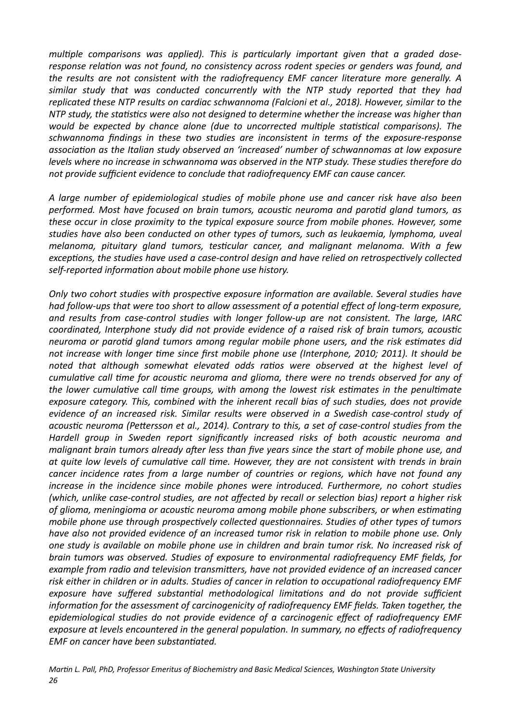multiple comparisons was applied). This is particularly important given that a graded doseresponse relation was not found, no consistency across rodent species or genders was found, and *the results are not consistent with the radiofrequency EMF cancer literature more generally.* A similar study that was conducted concurrently with the NTP study reported that they had replicated these NTP results on cardiac schwannoma (Falcioni et al., 2018). However, similar to the *NTP* study, the statistics were also not designed to determine whether the increase was higher than *would be expected by chance alone (due to uncorrected multiple statistical comparisons). The* schwannoma findings in these two studies are inconsistent in terms of the exposure-response association as the Italian study observed an 'increased' number of schwannomas at low exposure *levels* where no increase in schwannoma was observed in the NTP study. These studies therefore do not provide sufficient evidence to conclude that radiofrequency EMF can cause cancer.

*A large number of epidemiological studies of mobile phone use and cancer risk have also been performed.* Most have focused on brain tumors, acoustic neuroma and parotid gland tumors, as *these occur in close proximity to the typical exposure source from mobile phones. However, some* studies have also been conducted on other types of tumors, such as leukaemia, lymphoma, uveal *melanoma, pituitary gland tumors, testicular cancer, and malignant melanoma. With a few* exceptions, the studies have used a case-control design and have relied on retrospectively collected self-reported information about mobile phone use history.

*Only two cohort studies with prospective exposure information are available. Several studies have had* follow-ups that were too short to allow assessment of a potential effect of long-term exposure, and results from case-control studies with longer follow-up are not consistent. The large, IARC *coordinated, Interphone study did not provide evidence of a raised risk of brain tumors, acoustic* neuroma or parotid gland tumors among regular mobile phone users, and the risk estimates did not increase with longer time since first mobile phone use (Interphone, 2010; 2011). It should be noted that although somewhat elevated odds ratios were observed at the highest level of *cumulative call time for acoustic neuroma and glioma, there were no trends observed for any of* the lower cumulative call time groups, with among the lowest risk estimates in the penultimate exposure category. This, combined with the inherent recall bias of such studies, does not provide *evidence of an increased risk. Similar results were observed in a Swedish case-control study of* acoustic neuroma (Pettersson et al., 2014). Contrary to this, a set of case-control studies from the Hardell group in Sweden report significantly increased risks of both acoustic neuroma and *malignant brain tumors already after less than five years since the start of mobile phone use, and* at quite low levels of cumulative call time. However, they are not consistent with trends in brain *cancer incidence rates from a large number of countries or regions, which have not found any increase in the incidence since mobile phones were introduced. Furthermore, no cohort studies (which, unlike case-control studies, are not affected by recall or selection bias) report a higher risk* of glioma, meningioma or acoustic neuroma among mobile phone subscribers, or when estimating *mobile phone use through prospectively collected questionnaires. Studies of other types of tumors have also not provided evidence of an increased tumor risk in relation to mobile phone use. Only one* study is available on mobile phone use in children and brain tumor risk. No increased risk of *brain* tumors was observed. Studies of exposure to environmental radiofrequency EMF fields, for *example from radio and television transmitters, have not provided evidence of an increased cancer* risk either in children or in adults. Studies of cancer in relation to occupational radiofrequency EMF exposure have suffered substantial methodological limitations and do not provide sufficient *information for the assessment of carcinogenicity of radiofrequency EMF fields. Taken together, the* epidemiological studies do not provide evidence of a carcinogenic effect of radiofrequency EMF *exposure* at levels encountered in the general population. In summary, no effects of radiofrequency *EMF* on cancer have been substantiated.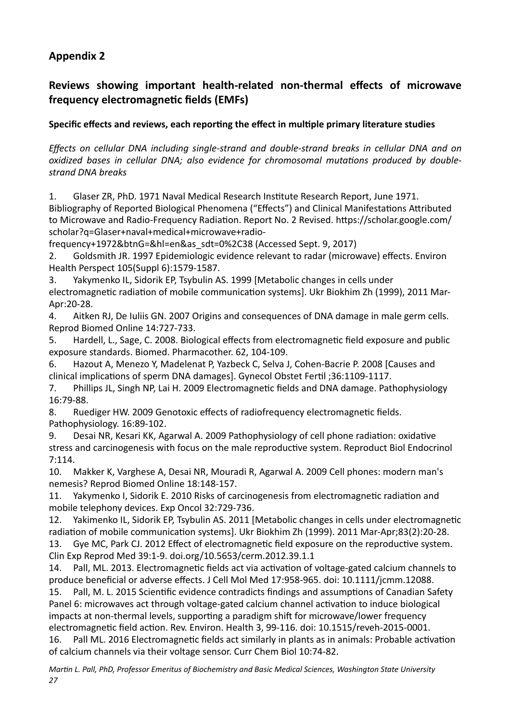## <span id="page-26-0"></span>**Appendix 2**

## Reviews showing important health-related non-thermal effects of microwave **frequency electromagnetic fields (EMFs)**

## Specific effects and reviews, each reporting the effect in multiple primary literature studies

*Effects* on cellular DNA including single-strand and double-strand breaks in cellular DNA and on *oxidized bases in cellular DNA; also evidence for chromosomal mutations produced by doublestrand DNA breaks* 

1. Glaser ZR, PhD. 1971 Naval Medical Research Institute Research Report, June 1971. Bibliography of Reported Biological Phenomena ("Effects") and Clinical Manifestations Attributed to Microwave and Radio-Frequency Radiation. Report No. 2 Revised. https://scholar.google.com/ scholar?q=Glaser+naval+medical+microwave+radio-

frequency+1972&btnG=&hl=en&as\_sdt=0%2C38 (Accessed Sept. 9, 2017) 

2. Goldsmith JR. 1997 Epidemiologic evidence relevant to radar (microwave) effects. Environ Health Perspect 105(Suppl 6):1579-1587.

3. Yakymenko IL, Sidorik EP, Tsybulin AS. 1999 [Metabolic changes in cells under electromagnetic radiation of mobile communication systems]. Ukr Biokhim Zh (1999), 2011 Mar-Apr:20-28. 

4. Aitken RJ, De Juliis GN, 2007 Origins and consequences of DNA damage in male germ cells. Reprod Biomed Online 14:727-733.

5. Hardell, L., Sage, C. 2008. Biological effects from electromagnetic field exposure and public exposure standards. Biomed. Pharmacother. 62, 104-109.

6. Hazout A, Menezo Y, Madelenat P, Yazbeck C, Selva J, Cohen-Bacrie P. 2008 [Causes and clinical implications of sperm DNA damages]. Gynecol Obstet Fertil ;36:1109-1117.

7. Phillips JL, Singh NP, Lai H. 2009 Electromagnetic fields and DNA damage. Pathophysiology 16:79-88. 

8. Ruediger HW. 2009 Genotoxic effects of radiofrequency electromagnetic fields. Pathophysiology. 16:89-102.

9. Desai NR, Kesari KK, Agarwal A. 2009 Pathophysiology of cell phone radiation: oxidative stress and carcinogenesis with focus on the male reproductive system. Reproduct Biol Endocrinol 7:114. 

10. Makker K, Varghese A, Desai NR, Mouradi R, Agarwal A. 2009 Cell phones: modern man's nemesis? Reprod Biomed Online 18:148-157.

11. Yakymenko I, Sidorik E. 2010 Risks of carcinogenesis from electromagnetic radiation and mobile telephony devices. Exp Oncol 32:729-736.

12. Yakimenko IL, Sidorik EP, Tsybulin AS. 2011 [Metabolic changes in cells under electromagnetic radiation of mobile communication systems]. Ukr Biokhim Zh (1999). 2011 Mar-Apr;83(2):20-28.

13. Gye MC, Park CJ. 2012 Effect of electromagnetic field exposure on the reproductive system. Clin Exp Reprod Med 39:1-9. doi.org/10.5653/cerm.2012.39.1.1 

14. Pall, ML. 2013. Electromagnetic fields act via activation of voltage-gated calcium channels to produce beneficial or adverse effects. J Cell Mol Med 17:958-965. doi: 10.1111/jcmm.12088.

15. Pall, M. L. 2015 Scientific evidence contradicts findings and assumptions of Canadian Safety Panel 6: microwaves act through voltage-gated calcium channel activation to induce biological impacts at non-thermal levels, supporting a paradigm shift for microwave/lower frequency electromagnetic field action. Rev. Environ. Health 3, 99-116. doi: 10.1515/reveh-2015-0001.

16. Pall ML. 2016 Electromagnetic fields act similarly in plants as in animals: Probable activation of calcium channels via their voltage sensor. Curr Chem Biol 10:74-82.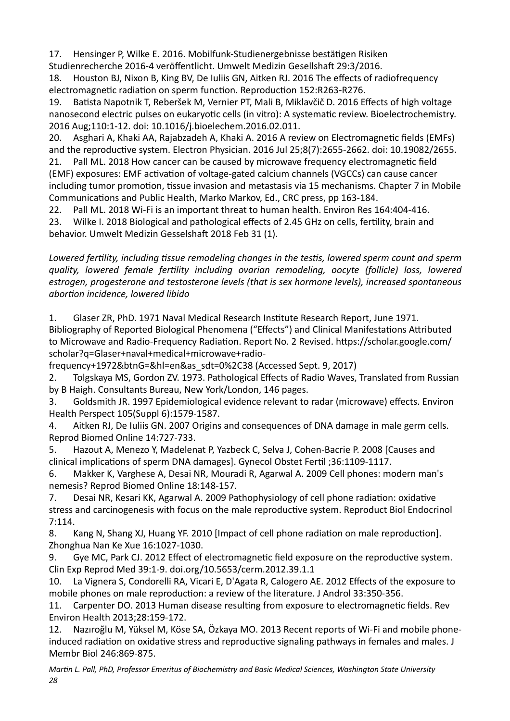17. Hensinger P, Wilke E, 2016. Mobilfunk-Studienergebnisse bestätigen Risiken Studienrecherche 2016-4 veröffentlicht. Umwelt Medizin Gesellshaft 29:3/2016.

18. Houston BJ, Nixon B, King BV, De Iuliis GN, Aitken RJ. 2016 The effects of radiofrequency electromagnetic radiation on sperm function. Reproduction 152:R263-R276.

19. Batista Napotnik T, Reberšek M, Vernier PT, Mali B, Miklavčič D. 2016 Effects of high voltage nanosecond electric pulses on eukaryotic cells (in vitro): A systematic review. Bioelectrochemistry. 2016 Aug;110:1-12. doi: 10.1016/j.bioelechem.2016.02.011.

20. Asghari A, Khaki AA, Rajabzadeh A, Khaki A. 2016 A review on Electromagnetic fields (EMFs) and the reproductive system. Electron Physician. 2016 Jul  $25;8(7):2655-2662$ . doi:  $10.19082/2655$ . 21. Pall ML. 2018 How cancer can be caused by microwave frequency electromagnetic field (EMF) exposures: EMF activation of voltage-gated calcium channels (VGCCs) can cause cancer including tumor promotion, tissue invasion and metastasis via 15 mechanisms. Chapter 7 in Mobile Communications and Public Health, Marko Markov, Ed., CRC press, pp 163-184.

22. Pall ML. 2018 Wi-Fi is an important threat to human health. Environ Res 164:404-416.

23. Wilke I. 2018 Biological and pathological effects of 2.45 GHz on cells, fertility, brain and behavior. Umwelt Medizin Gesselshaft 2018 Feb 31 (1).

Lowered fertility, including tissue remodeling changes in the testis, lowered sperm count and sperm quality, lowered female fertility including ovarian remodeling, oocyte (follicle) loss, lowered estrogen, progesterone and testosterone levels (that is sex hormone levels), increased spontaneous  $abortion$  incidence, lowered libido

1. Glaser ZR, PhD. 1971 Naval Medical Research Institute Research Report, June 1971. Bibliography of Reported Biological Phenomena ("Effects") and Clinical Manifestations Attributed to Microwave and Radio-Frequency Radiation. Report No. 2 Revised. https://scholar.google.com/ scholar?q=Glaser+naval+medical+microwave+radio-

frequency+1972&btnG=&hl=en&as\_sdt=0%2C38 (Accessed Sept. 9, 2017) 

2. Tolgskaya MS, Gordon ZV. 1973. Pathological Effects of Radio Waves, Translated from Russian by B Haigh. Consultants Bureau, New York/London, 146 pages.

3. Goldsmith JR. 1997 Epidemiological evidence relevant to radar (microwave) effects. Environ Health Perspect 105(Suppl 6):1579-1587.

4. Aitken RJ, De Iuliis GN. 2007 Origins and consequences of DNA damage in male germ cells. Reprod Biomed Online 14:727-733.

5. Hazout A, Menezo Y, Madelenat P, Yazbeck C, Selva J, Cohen-Bacrie P. 2008 [Causes and clinical implications of sperm DNA damages]. Gynecol Obstet Fertil ;36:1109-1117.

6. Makker K, Varghese A, Desai NR, Mouradi R, Agarwal A. 2009 Cell phones: modern man's nemesis? Reprod Biomed Online 18:148-157.

7. Desai NR, Kesari KK, Agarwal A. 2009 Pathophysiology of cell phone radiation: oxidative stress and carcinogenesis with focus on the male reproductive system. Reproduct Biol Endocrinol 7:114. 

8. Kang N, Shang XJ, Huang YF. 2010 [Impact of cell phone radiation on male reproduction]. Zhonghua Nan Ke Xue 16:1027-1030.

9. Gye MC, Park CJ. 2012 Effect of electromagnetic field exposure on the reproductive system. Clin Exp Reprod Med 39:1-9. doi.org/10.5653/cerm.2012.39.1.1 

10. La Vignera S, Condorelli RA, Vicari E, D'Agata R, Calogero AE. 2012 Effects of the exposure to mobile phones on male reproduction: a review of the literature. J Androl 33:350-356.

11. Carpenter DO. 2013 Human disease resulting from exposure to electromagnetic fields. Rev Environ Health 2013;28:159-172. 

12. Nazıroğlu M, Yüksel M, Köse SA, Özkaya MO. 2013 Recent reports of Wi-Fi and mobile phoneinduced radiation on oxidative stress and reproductive signaling pathways in females and males. J Membr Biol 246:869-875.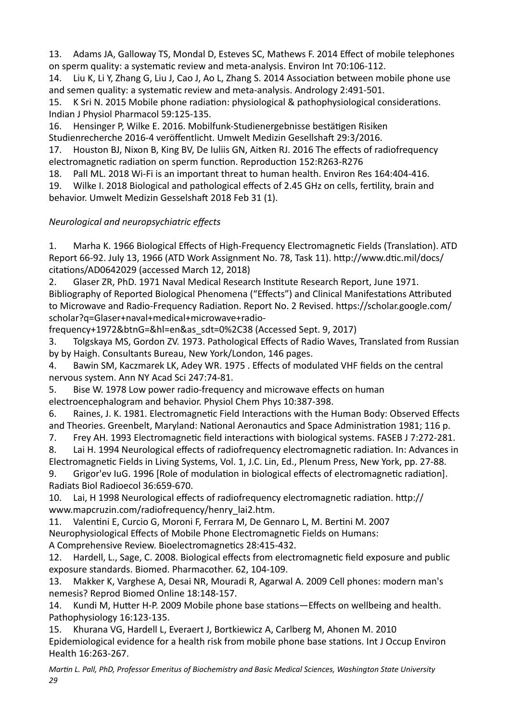13. Adams JA, Galloway TS, Mondal D, Esteves SC, Mathews F, 2014 Effect of mobile telephones on sperm quality: a systematic review and meta-analysis. Environ Int 70:106-112.

14. Liu K, Li Y, Zhang G, Liu J, Cao J, Ao L, Zhang S. 2014 Association between mobile phone use and semen quality: a systematic review and meta-analysis. Andrology 2:491-501.

15. K Sri N. 2015 Mobile phone radiation: physiological & pathophysiological considerations. Indian J Physiol Pharmacol 59:125-135.

16. Hensinger P, Wilke E. 2016. Mobilfunk-Studienergebnisse bestätigen Risiken

Studienrecherche 2016-4 veröffentlicht. Umwelt Medizin Gesellshaft 29:3/2016.

17. Houston BJ, Nixon B, King BV, De Iuliis GN, Aitken RJ. 2016 The effects of radiofrequency electromagnetic radiation on sperm function. Reproduction 152:R263-R276

18. Pall ML. 2018 Wi-Fi is an important threat to human health. Environ Res 164:404-416.

19. Wilke I. 2018 Biological and pathological effects of 2.45 GHz on cells, fertility, brain and behavior. Umwelt Medizin Gesselshaft 2018 Feb 31 (1).

## *Neurological and neuropsychiatric effects*

1. Marha K. 1966 Biological Effects of High-Frequency Electromagnetic Fields (Translation). ATD Report 66-92. July 13, 1966 (ATD Work Assignment No. 78, Task 11). http://www.dtic.mil/docs/ citations/AD0642029 (accessed March 12, 2018)

2. Glaser ZR, PhD. 1971 Naval Medical Research Institute Research Report, June 1971. Bibliography of Reported Biological Phenomena ("Effects") and Clinical Manifestations Attributed to Microwave and Radio-Frequency Radiation. Report No. 2 Revised. https://scholar.google.com/ scholar?q=Glaser+naval+medical+microwave+radio-

frequency+1972&btnG=&hl=en&as\_sdt=0%2C38 (Accessed Sept. 9, 2017) 

3. Tolgskaya MS, Gordon ZV. 1973. Pathological Effects of Radio Waves, Translated from Russian by by Haigh. Consultants Bureau, New York/London, 146 pages.

4. Bawin SM, Kaczmarek LK, Adey WR. 1975 . Effects of modulated VHF fields on the central nervous system. Ann NY Acad Sci 247:74-81.

5. Bise W. 1978 Low power radio-frequency and microwave effects on human

electroencephalogram and behavior. Physiol Chem Phys 10:387-398.

6. Raines, J. K. 1981. Electromagnetic Field Interactions with the Human Body: Observed Effects and Theories. Greenbelt, Maryland: National Aeronautics and Space Administration 1981; 116 p.

7. Frey AH. 1993 Electromagnetic field interactions with biological systems. FASEB J 7:272-281.

8. Lai H. 1994 Neurological effects of radiofrequency electromagnetic radiation. In: Advances in Electromagnetic Fields in Living Systems, Vol. 1, J.C. Lin, Ed., Plenum Press, New York, pp. 27-88.

9. Grigor'ev luG. 1996 [Role of modulation in biological effects of electromagnetic radiation]. Radiats Biol Radioecol 36:659-670. 

10. Lai, H 1998 Neurological effects of radiofrequency electromagnetic radiation. http:// www.mapcruzin.com/radiofrequency/henry\_lai2.htm. 

11. Valentini E, Curcio G, Moroni F, Ferrara M, De Gennaro L, M. Bertini M. 2007 Neurophysiological Effects of Mobile Phone Electromagnetic Fields on Humans:

A Comprehensive Review. Bioelectromagnetics 28:415-432.

12. Hardell, L., Sage, C. 2008. Biological effects from electromagnetic field exposure and public exposure standards. Biomed. Pharmacother. 62, 104-109.

13. Makker K, Varghese A, Desai NR, Mouradi R, Agarwal A. 2009 Cell phones: modern man's nemesis? Reprod Biomed Online 18:148-157.

14. Kundi M. Hutter H-P. 2009 Mobile phone base stations—Effects on wellbeing and health. Pathophysiology 16:123-135.

15. Khurana VG, Hardell L, Everaert J, Bortkiewicz A, Carlberg M, Ahonen M. 2010 Epidemiological evidence for a health risk from mobile phone base stations. Int J Occup Environ Health 16:263-267.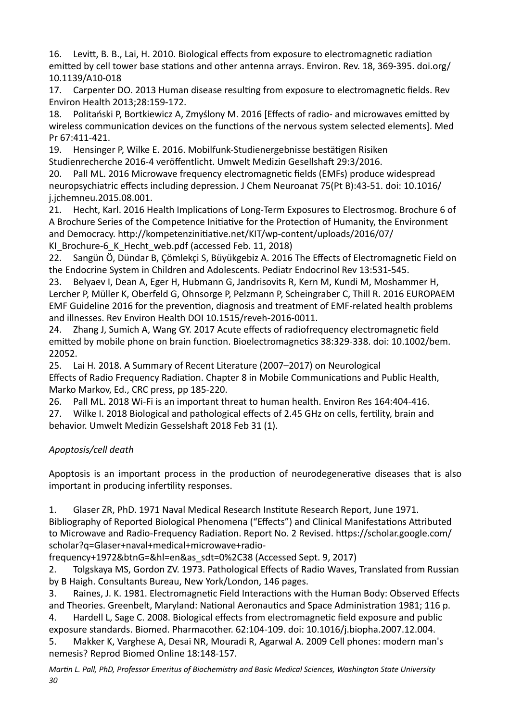16. Levitt, B. B., Lai, H. 2010. Biological effects from exposure to electromagnetic radiation emitted by cell tower base stations and other antenna arrays. Environ. Rev. 18, 369-395. doi.org/ 10.1139/A10-018 

17. Carpenter DO. 2013 Human disease resulting from exposure to electromagnetic fields. Rev Environ Health 2013;28:159-172. 

18. Politański P, Bortkiewicz A, Zmyślony M. 2016 [Effects of radio- and microwaves emitted by wireless communication devices on the functions of the nervous system selected elements]. Med Pr 67:411-421.

19. Hensinger P, Wilke E. 2016. Mobilfunk-Studienergebnisse bestätigen Risiken Studienrecherche 2016-4 veröffentlicht. Umwelt Medizin Gesellshaft 29:3/2016.

20. Pall ML. 2016 Microwave frequency electromagnetic fields (EMFs) produce widespread neuropsychiatric effects including depression. J Chem Neuroanat 75(Pt B):43-51. doi: 10.1016/ j.jchemneu.2015.08.001. 

21. Hecht, Karl. 2016 Health Implications of Long-Term Exposures to Electrosmog. Brochure 6 of A Brochure Series of the Competence Initiative for the Protection of Humanity, the Environment and Democracy. http://kompetenzinitiative.net/KIT/wp-content/uploads/2016/07/ KI Brochure-6 K Hecht web.pdf (accessed Feb. 11, 2018)

22. Sangün Ö, Dündar B, Cömlekci S, Büyükgebiz A. 2016 The Effects of Electromagnetic Field on the Endocrine System in Children and Adolescents. Pediatr Endocrinol Rev 13:531-545.

23. Belyaev I, Dean A, Eger H, Hubmann G, Jandrisovits R, Kern M, Kundi M, Moshammer H, Lercher P, Müller K, Oberfeld G, Ohnsorge P, Pelzmann P, Scheingraber C, Thill R. 2016 EUROPAEM EMF Guideline 2016 for the prevention, diagnosis and treatment of EMF-related health problems and illnesses. Rev Environ Health DOI 10.1515/reveh-2016-0011.

24. Zhang J, Sumich A, Wang GY. 2017 Acute effects of radiofrequency electromagnetic field emitted by mobile phone on brain function. Bioelectromagnetics 38:329-338. doi: 10.1002/bem. 22052. 

25. Lai H. 2018. A Summary of Recent Literature (2007–2017) on Neurological Effects of Radio Frequency Radiation. Chapter 8 in Mobile Communications and Public Health, Marko Markov, Ed., CRC press, pp 185-220.

26. Pall ML. 2018 Wi-Fi is an important threat to human health. Environ Res 164:404-416.

27. Wilke I. 2018 Biological and pathological effects of 2.45 GHz on cells, fertility, brain and behavior. Umwelt Medizin Gesselshaft 2018 Feb 31 (1).

## *Apoptosis/cell death*

Apoptosis is an important process in the production of neurodegenerative diseases that is also important in producing infertility responses.

1. Glaser ZR, PhD. 1971 Naval Medical Research Institute Research Report, June 1971. Bibliography of Reported Biological Phenomena ("Effects") and Clinical Manifestations Attributed to Microwave and Radio-Frequency Radiation. Report No. 2 Revised. https://scholar.google.com/ scholar?q=Glaser+naval+medical+microwave+radio-

frequency+1972&btnG=&hl=en&as\_sdt=0%2C38 (Accessed Sept. 9, 2017) 

2. Tolgskaya MS, Gordon ZV. 1973. Pathological Effects of Radio Waves, Translated from Russian by B Haigh. Consultants Bureau, New York/London, 146 pages.

3. Raines, J. K. 1981. Electromagnetic Field Interactions with the Human Body: Observed Effects and Theories. Greenbelt, Maryland: National Aeronautics and Space Administration 1981; 116 p.

4. Hardell L, Sage C. 2008. Biological effects from electromagnetic field exposure and public exposure standards. Biomed. Pharmacother. 62:104-109. doi: 10.1016/j.biopha.2007.12.004.

5. Makker K, Varghese A, Desai NR, Mouradi R, Agarwal A. 2009 Cell phones: modern man's nemesis? Reprod Biomed Online 18:148-157.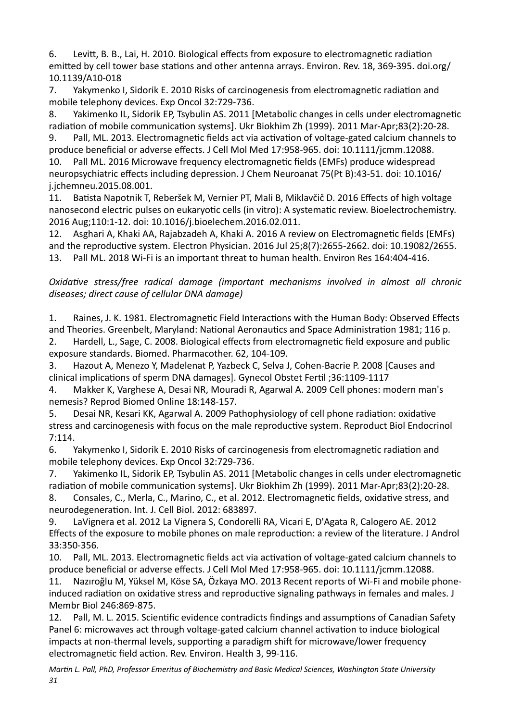6. Levitt, B. B., Lai, H. 2010. Biological effects from exposure to electromagnetic radiation emitted by cell tower base stations and other antenna arrays. Environ. Rev. 18, 369-395. doi.org/ 10.1139/A10-018 

7. Yakymenko I, Sidorik E, 2010 Risks of carcinogenesis from electromagnetic radiation and mobile telephony devices. Exp Oncol 32:729-736.

8. Yakimenko IL, Sidorik EP, Tsybulin AS. 2011 [Metabolic changes in cells under electromagnetic radiation of mobile communication systems]. Ukr Biokhim Zh (1999). 2011 Mar-Apr;83(2):20-28.

9. Pall, ML. 2013. Electromagnetic fields act via activation of voltage-gated calcium channels to produce beneficial or adverse effects. J Cell Mol Med 17:958-965. doi: 10.1111/jcmm.12088. 10. Pall ML. 2016 Microwave frequency electromagnetic fields (EMFs) produce widespread neuropsychiatric effects including depression. J Chem Neuroanat 75(Pt B):43-51. doi: 10.1016/ j.jchemneu.2015.08.001. 

11. Batista Napotnik T, Reberšek M, Vernier PT, Mali B, Miklavčič D. 2016 Effects of high voltage nanosecond electric pulses on eukaryotic cells (in vitro): A systematic review. Bioelectrochemistry. 2016 Aug;110:1-12. doi: 10.1016/j.bioelechem.2016.02.011.

12. Asghari A, Khaki AA, Rajabzadeh A, Khaki A. 2016 A review on Electromagnetic fields (EMFs) and the reproductive system. Electron Physician. 2016 Jul 25;8(7):2655-2662. doi: 10.19082/2655. 13. Pall ML. 2018 Wi-Fi is an important threat to human health. Environ Res 164:404-416.

### *Oxidative stress/free radical damage (important mechanisms involved in almost all chronic* diseases; direct cause of cellular DNA damage)

1. Raines, J. K. 1981. Electromagnetic Field Interactions with the Human Body: Observed Effects and Theories. Greenbelt, Maryland: National Aeronautics and Space Administration 1981; 116 p.

2. Hardell, L., Sage, C. 2008. Biological effects from electromagnetic field exposure and public exposure standards. Biomed. Pharmacother. 62, 104-109.

3. Hazout A, Menezo Y, Madelenat P, Yazbeck C, Selva J, Cohen-Bacrie P. 2008 [Causes and clinical implications of sperm DNA damages]. Gynecol Obstet Fertil ;36:1109-1117

4. Makker K, Varghese A, Desai NR, Mouradi R, Agarwal A. 2009 Cell phones: modern man's nemesis? Reprod Biomed Online 18:148-157.

5. Desai NR, Kesari KK, Agarwal A. 2009 Pathophysiology of cell phone radiation: oxidative stress and carcinogenesis with focus on the male reproductive system. Reproduct Biol Endocrinol 7:114. 

6. Yakymenko I, Sidorik E. 2010 Risks of carcinogenesis from electromagnetic radiation and mobile telephony devices. Exp Oncol 32:729-736.

7. Yakimenko IL, Sidorik EP, Tsybulin AS. 2011 [Metabolic changes in cells under electromagnetic radiation of mobile communication systems]. Ukr Biokhim Zh (1999). 2011 Mar-Apr;83(2):20-28.

8. Consales, C., Merla, C., Marino, C., et al. 2012. Electromagnetic fields, oxidative stress, and neurodegeneration. Int. J. Cell Biol. 2012: 683897.

9. LaVignera et al. 2012 La Vignera S, Condorelli RA, Vicari E, D'Agata R, Calogero AE. 2012 Effects of the exposure to mobile phones on male reproduction: a review of the literature. J Androl 33:350-356. 

10. Pall, ML. 2013. Electromagnetic fields act via activation of voltage-gated calcium channels to produce beneficial or adverse effects. J Cell Mol Med 17:958-965. doi: 10.1111/jcmm.12088.

11. Nazıroğlu M, Yüksel M, Köse SA, Özkaya MO. 2013 Recent reports of Wi-Fi and mobile phoneinduced radiation on oxidative stress and reproductive signaling pathways in females and males. J Membr Biol 246:869-875. 

12. Pall, M. L. 2015. Scientific evidence contradicts findings and assumptions of Canadian Safety Panel 6: microwaves act through voltage-gated calcium channel activation to induce biological impacts at non-thermal levels, supporting a paradigm shift for microwave/lower frequency electromagnetic field action. Rev. Environ. Health 3, 99-116.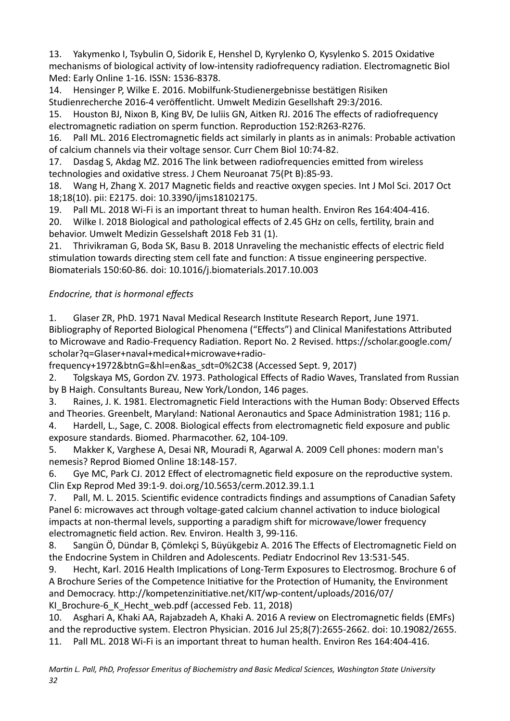13. Yakymenko I, Tsybulin O, Sidorik E, Henshel D, Kyrylenko O, Kysylenko S, 2015 Oxidative mechanisms of biological activity of low-intensity radiofrequency radiation. Electromagnetic Biol Med: Early Online 1-16. ISSN: 1536-8378.

14. Hensinger P. Wilke E. 2016. Mobilfunk-Studienergebnisse bestätigen Risiken Studienrecherche 2016-4 veröffentlicht. Umwelt Medizin Gesellshaft 29:3/2016.

15. Houston BJ, Nixon B, King BV, De Iuliis GN, Aitken RJ. 2016 The effects of radiofrequency electromagnetic radiation on sperm function. Reproduction 152:R263-R276.

16. Pall ML. 2016 Electromagnetic fields act similarly in plants as in animals: Probable activation of calcium channels via their voltage sensor. Curr Chem Biol 10:74-82.

17. Dasdag S, Akdag MZ. 2016 The link between radiofrequencies emitted from wireless technologies and oxidative stress. J Chem Neuroanat 75(Pt B):85-93.

18. Wang H, Zhang X. 2017 Magnetic fields and reactive oxygen species. Int J Mol Sci. 2017 Oct 18;18(10). pii: E2175. doi: 10.3390/ijms18102175. 

19. Pall ML. 2018 Wi-Fi is an important threat to human health. Environ Res 164:404-416.

20. Wilke I. 2018 Biological and pathological effects of 2.45 GHz on cells, fertility, brain and behavior. Umwelt Medizin Gesselshaft 2018 Feb 31 (1).

21. Thrivikraman G, Boda SK, Basu B. 2018 Unraveling the mechanistic effects of electric field stimulation towards directing stem cell fate and function: A tissue engineering perspective. Biomaterials 150:60-86. doi: 10.1016/j.biomaterials.2017.10.003 

## *Endocrine, that is hormonal effects*

1. Glaser ZR, PhD. 1971 Naval Medical Research Institute Research Report, June 1971. Bibliography of Reported Biological Phenomena ("Effects") and Clinical Manifestations Attributed to Microwave and Radio-Frequency Radiation. Report No. 2 Revised. https://scholar.google.com/ scholar?q=Glaser+naval+medical+microwave+radio-

frequency+1972&btnG=&hl=en&as\_sdt=0%2C38 (Accessed Sept. 9, 2017) 

2. Tolgskaya MS, Gordon ZV. 1973. Pathological Effects of Radio Waves, Translated from Russian by B Haigh. Consultants Bureau, New York/London, 146 pages.

3. Raines, J. K. 1981. Electromagnetic Field Interactions with the Human Body: Observed Effects and Theories. Greenbelt, Maryland: National Aeronautics and Space Administration 1981; 116 p.

4. Hardell, L., Sage, C. 2008. Biological effects from electromagnetic field exposure and public exposure standards. Biomed. Pharmacother. 62, 104-109.

5. Makker K, Varghese A, Desai NR, Mouradi R, Agarwal A. 2009 Cell phones: modern man's nemesis? Reprod Biomed Online 18:148-157.

6. Gye MC, Park CJ. 2012 Effect of electromagnetic field exposure on the reproductive system. Clin Exp Reprod Med 39:1-9. doi.org/10.5653/cerm.2012.39.1.1 

7. Pall, M. L. 2015. Scientific evidence contradicts findings and assumptions of Canadian Safety Panel 6: microwaves act through voltage-gated calcium channel activation to induce biological impacts at non-thermal levels, supporting a paradigm shift for microwave/lower frequency electromagnetic field action. Rev. Environ. Health 3, 99-116.

8. Sangün Ö, Dündar B, Çömlekçi S, Büyükgebiz A. 2016 The Effects of Electromagnetic Field on the Endocrine System in Children and Adolescents. Pediatr Endocrinol Rev 13:531-545.

9. Hecht, Karl. 2016 Health Implications of Long-Term Exposures to Electrosmog. Brochure 6 of A Brochure Series of the Competence Initiative for the Protection of Humanity, the Environment and Democracy. http://kompetenzinitiative.net/KIT/wp-content/uploads/2016/07/ KI Brochure-6 K Hecht web.pdf (accessed Feb. 11, 2018)

10. Asghari A, Khaki AA, Rajabzadeh A, Khaki A. 2016 A review on Electromagnetic fields (EMFs) and the reproductive system. Electron Physician. 2016 Jul  $25;8(7):2655-2662$ . doi:  $10.19082/2655$ . 11. Pall ML. 2018 Wi-Fi is an important threat to human health. Environ Res 164:404-416.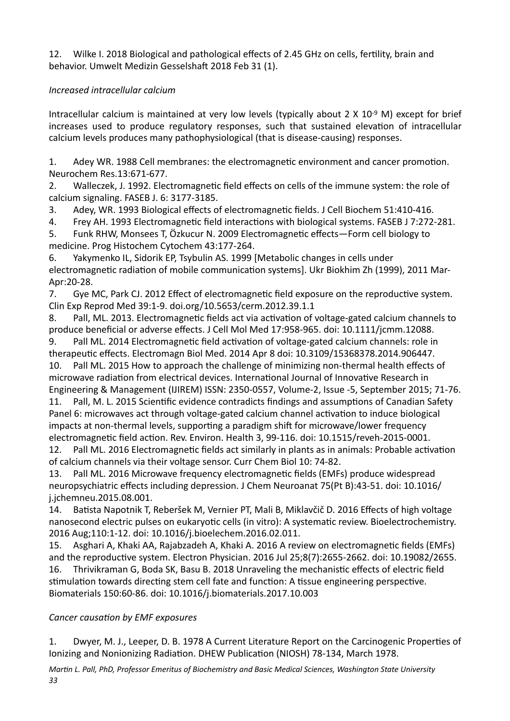12. Wilke I. 2018 Biological and pathological effects of 2.45 GHz on cells, fertility, brain and behavior. Umwelt Medizin Gesselshaft 2018 Feb 31 (1).

### *Increased intracellular calcium*

Intracellular calcium is maintained at very low levels (typically about  $2 \times 10^{-9}$  M) except for brief increases used to produce regulatory responses, such that sustained elevation of intracellular calcium levels produces many pathophysiological (that is disease-causing) responses.

1. Adey WR. 1988 Cell membranes: the electromagnetic environment and cancer promotion. Neurochem Res.13:671-677. 

2. Walleczek, J. 1992. Electromagnetic field effects on cells of the immune system: the role of calcium signaling. FASEB J. 6: 3177-3185.

3. Adey, WR. 1993 Biological effects of electromagnetic fields. J Cell Biochem 51:410-416.

4. Frey AH. 1993 Electromagnetic field interactions with biological systems. FASEB J 7:272-281.

5. Funk RHW, Monsees T, Özkucur N. 2009 Electromagnetic effects—Form cell biology to medicine. Prog Histochem Cytochem 43:177-264.

6. Yakymenko IL, Sidorik EP, Tsybulin AS. 1999 [Metabolic changes in cells under electromagnetic radiation of mobile communication systems]. Ukr Biokhim Zh (1999), 2011 Mar-Apr:20-28. 

7. Gye MC, Park CJ. 2012 Effect of electromagnetic field exposure on the reproductive system. Clin Exp Reprod Med 39:1-9. doi.org/10.5653/cerm.2012.39.1.1 

8. Pall, ML. 2013. Electromagnetic fields act via activation of voltage-gated calcium channels to produce beneficial or adverse effects. J Cell Mol Med 17:958-965. doi: 10.1111/jcmm.12088.

9. Pall ML. 2014 Electromagnetic field activation of voltage-gated calcium channels: role in therapeutic effects. Electromagn Biol Med. 2014 Apr 8 doi: 10.3109/15368378.2014.906447.

10. Pall ML. 2015 How to approach the challenge of minimizing non-thermal health effects of microwave radiation from electrical devices. International Journal of Innovative Research in Engineering & Management (IJIREM) ISSN: 2350-0557, Volume-2, Issue -5, September 2015; 71-76.

11. Pall, M. L. 2015 Scientific evidence contradicts findings and assumptions of Canadian Safety Panel 6: microwaves act through voltage-gated calcium channel activation to induce biological impacts at non-thermal levels, supporting a paradigm shift for microwave/lower frequency electromagnetic field action. Rev. Environ. Health 3, 99-116. doi: 10.1515/reveh-2015-0001. 12. Pall ML. 2016 Electromagnetic fields act similarly in plants as in animals: Probable activation

of calcium channels via their voltage sensor. Curr Chem Biol 10: 74-82.

13. Pall ML. 2016 Microwave frequency electromagnetic fields (EMFs) produce widespread neuropsychiatric effects including depression. J Chem Neuroanat 75(Pt B):43-51. doi: 10.1016/ j.jchemneu.2015.08.001. 

14. Batista Napotnik T, Reberšek M, Vernier PT, Mali B, Miklavčič D. 2016 Effects of high voltage nanosecond electric pulses on eukaryotic cells (in vitro): A systematic review. Bioelectrochemistry. 2016 Aug;110:1-12. doi: 10.1016/j.bioelechem.2016.02.011.

15. Asghari A, Khaki AA, Rajabzadeh A, Khaki A. 2016 A review on electromagnetic fields (EMFs) and the reproductive system. Electron Physician. 2016 Jul  $25;8(7):2655-2662$ . doi:  $10.19082/2655$ . 16. Thrivikraman G, Boda SK, Basu B. 2018 Unraveling the mechanistic effects of electric field stimulation towards directing stem cell fate and function: A tissue engineering perspective. Biomaterials 150:60-86. doi: 10.1016/j.biomaterials.2017.10.003 

## **Cancer causation by EMF exposures**

1. Dwyer, M. J., Leeper, D. B. 1978 A Current Literature Report on the Carcinogenic Properties of Ionizing and Nonionizing Radiation. DHEW Publication (NIOSH) 78-134, March 1978.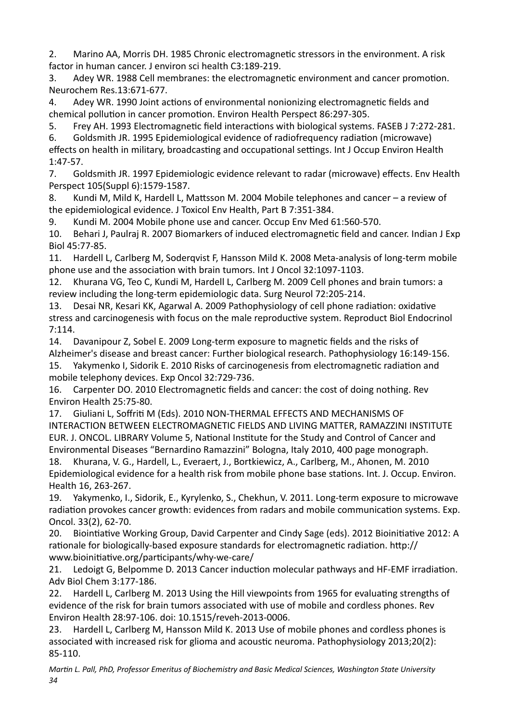2. Marino AA, Morris DH, 1985 Chronic electromagnetic stressors in the environment. A risk factor in human cancer. J environ sci health C3:189-219.

3. Adey WR. 1988 Cell membranes: the electromagnetic environment and cancer promotion. Neurochem Res.13:671-677. 

4. Adey WR. 1990 Joint actions of environmental nonionizing electromagnetic fields and chemical pollution in cancer promotion. Environ Health Perspect 86:297-305.

5. Frey AH. 1993 Electromagnetic field interactions with biological systems. FASEB J 7:272-281.

6. Goldsmith JR. 1995 Epidemiological evidence of radiofrequency radiation (microwave) effects on health in military, broadcasting and occupational settings. Int J Occup Environ Health 1:47-57. 

7. Goldsmith JR. 1997 Epidemiologic evidence relevant to radar (microwave) effects. Env Health Perspect 105(Suppl 6):1579-1587.

8. Kundi M, Mild K, Hardell L, Mattsson M. 2004 Mobile telephones and cancer – a review of the epidemiological evidence. J Toxicol Env Health, Part B 7:351-384.

9. Kundi M. 2004 Mobile phone use and cancer. Occup Env Med 61:560-570.

10. Behari J, Paulraj R. 2007 Biomarkers of induced electromagnetic field and cancer. Indian J Exp Biol 45:77-85. 

11. Hardell L, Carlberg M, Sodergvist F, Hansson Mild K. 2008 Meta-analysis of long-term mobile phone use and the association with brain tumors. Int J Oncol 32:1097-1103.

12. Khurana VG, Teo C, Kundi M, Hardell L, Carlberg M. 2009 Cell phones and brain tumors: a review including the long-term epidemiologic data. Surg Neurol 72:205-214.

13. Desai NR, Kesari KK, Agarwal A. 2009 Pathophysiology of cell phone radiation: oxidative stress and carcinogenesis with focus on the male reproductive system. Reproduct Biol Endocrinol 7:114. 

14. Davanipour Z, Sobel E. 2009 Long-term exposure to magnetic fields and the risks of Alzheimer's disease and breast cancer: Further biological research. Pathophysiology 16:149-156.

15. Yakymenko I, Sidorik E. 2010 Risks of carcinogenesis from electromagnetic radiation and mobile telephony devices. Exp Oncol 32:729-736.

16. Carpenter DO. 2010 Electromagnetic fields and cancer: the cost of doing nothing. Rev Environ Health 25:75-80.

17. Giuliani L, Soffriti M (Eds). 2010 NON-THERMAL EFFECTS AND MECHANISMS OF INTERACTION BETWEEN ELECTROMAGNETIC FIELDS AND LIVING MATTER, RAMAZZINI INSTITUTE EUR. J. ONCOL. LIBRARY Volume 5, National Institute for the Study and Control of Cancer and Environmental Diseases "Bernardino Ramazzini" Bologna, Italy 2010, 400 page monograph.

18. Khurana, V. G., Hardell, L., Everaert, J., Bortkiewicz, A., Carlberg, M., Ahonen, M. 2010 Epidemiological evidence for a health risk from mobile phone base stations. Int. J. Occup. Environ. Health 16, 263-267.

19. Yakymenko, I., Sidorik, E., Kyrylenko, S., Chekhun, V. 2011. Long-term exposure to microwave radiation provokes cancer growth: evidences from radars and mobile communication systems. Exp. Oncol. 33(2), 62-70. 

20. Biointiative Working Group, David Carpenter and Cindy Sage (eds). 2012 Bioinitiative 2012: A rationale for biologically-based exposure standards for electromagnetic radiation. http:// www.bioinitiative.org/participants/why-we-care/

21. Ledoigt G. Belpomme D. 2013 Cancer induction molecular pathways and HF-EMF irradiation. Adv Biol Chem 3:177-186. 

22. Hardell L, Carlberg M. 2013 Using the Hill viewpoints from 1965 for evaluating strengths of evidence of the risk for brain tumors associated with use of mobile and cordless phones. Rev Environ Health 28:97-106. doi: 10.1515/reveh-2013-0006.

23. Hardell L, Carlberg M, Hansson Mild K. 2013 Use of mobile phones and cordless phones is associated with increased risk for glioma and acoustic neuroma. Pathophysiology 2013;20(2): 85-110.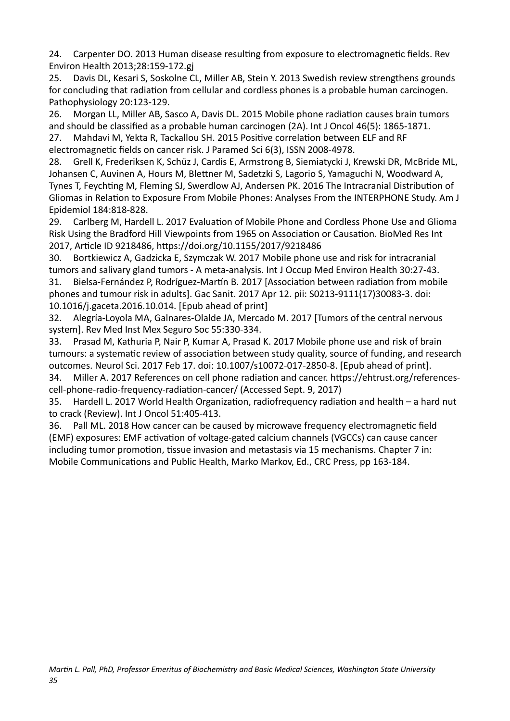24. Carpenter DO. 2013 Human disease resulting from exposure to electromagnetic fields. Rev Environ Health 2013;28:159-172.gj 

25. Davis DL, Kesari S, Soskolne CL, Miller AB, Stein Y. 2013 Swedish review strengthens grounds for concluding that radiation from cellular and cordless phones is a probable human carcinogen. Pathophysiology 20:123-129.

26. Morgan LL, Miller AB, Sasco A, Davis DL. 2015 Mobile phone radiation causes brain tumors and should be classified as a probable human carcinogen (2A). Int J Oncol 46(5): 1865-1871.

27. Mahdavi M, Yekta R, Tackallou SH. 2015 Positive correlation between ELF and RF electromagnetic fields on cancer risk. J Paramed Sci 6(3), ISSN 2008-4978.

28. Grell K, Frederiksen K, Schüz J, Cardis E, Armstrong B, Siemiatycki J, Krewski DR, McBride ML, Johansen C, Auvinen A, Hours M, Blettner M, Sadetzki S, Lagorio S, Yamaguchi N, Woodward A, Tynes T, Feychting M, Fleming SJ, Swerdlow AJ, Andersen PK. 2016 The Intracranial Distribution of Gliomas in Relation to Exposure From Mobile Phones: Analyses From the INTERPHONE Study. Am J Epidemiol 184:818-828. 

29. Carlberg M, Hardell L. 2017 Evaluation of Mobile Phone and Cordless Phone Use and Glioma Risk Using the Bradford Hill Viewpoints from 1965 on Association or Causation. BioMed Res Int 2017, Article ID 9218486, https://doi.org/10.1155/2017/9218486

30. Bortkiewicz A, Gadzicka E, Szymczak W. 2017 Mobile phone use and risk for intracranial tumors and salivary gland tumors - A meta-analysis. Int J Occup Med Environ Health 30:27-43. 31. Bielsa-Fernández P, Rodríguez-Martín B. 2017 [Association between radiation from mobile phones and tumour risk in adults]. Gac Sanit. 2017 Apr 12. pii: S0213-9111(17)30083-3. doi: 10.1016/j.gaceta.2016.10.014. [Epub ahead of print]

32. Alegría-Loyola MA, Galnares-Olalde JA, Mercado M. 2017 [Tumors of the central nervous system]. Rev Med Inst Mex Seguro Soc 55:330-334.

33. Prasad M, Kathuria P, Nair P, Kumar A, Prasad K. 2017 Mobile phone use and risk of brain tumours: a systematic review of association between study quality, source of funding, and research outcomes. Neurol Sci. 2017 Feb 17. doi: 10.1007/s10072-017-2850-8. [Epub ahead of print].

34. Miller A. 2017 References on cell phone radiation and cancer. https://ehtrust.org/referencescell-phone-radio-frequency-radiation-cancer/ (Accessed Sept. 9, 2017)

35. Hardell L. 2017 World Health Organization, radiofrequency radiation and health – a hard nut to crack (Review). Int J Oncol 51:405-413.

36. Pall ML. 2018 How cancer can be caused by microwave frequency electromagnetic field (EMF) exposures: EMF activation of voltage-gated calcium channels (VGCCs) can cause cancer including tumor promotion, tissue invasion and metastasis via 15 mechanisms. Chapter 7 in: Mobile Communications and Public Health, Marko Markov, Ed., CRC Press, pp 163-184.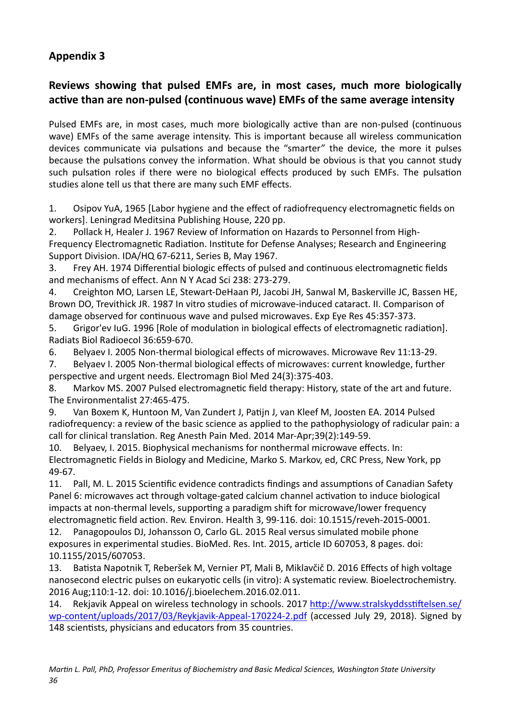## <span id="page-35-0"></span>**Appendix 3**

## Reviews showing that pulsed EMFs are, in most cases, much more biologically active than are non-pulsed (continuous wave) EMFs of the same average intensity

Pulsed EMFs are, in most cases, much more biologically active than are non-pulsed (continuous wave) EMFs of the same average intensity. This is important because all wireless communication devices communicate via pulsations and because the "smarter" the device, the more it pulses because the pulsations convey the information. What should be obvious is that you cannot study such pulsation roles if there were no biological effects produced by such EMFs. The pulsation studies alone tell us that there are many such EMF effects.

1. Osipov YuA, 1965 [Labor hygiene and the effect of radiofrequency electromagnetic fields on workers]. Leningrad Meditsina Publishing House, 220 pp.

2. Pollack H, Healer J. 1967 Review of Information on Hazards to Personnel from High-Frequency Electromagnetic Radiation. Institute for Defense Analyses; Research and Engineering Support Division. IDA/HQ 67-6211, Series B, May 1967.

3. Frey AH. 1974 Differential biologic effects of pulsed and continuous electromagnetic fields and mechanisms of effect. Ann N Y Acad Sci 238: 273-279.

4. Creighton MO, Larsen LE, Stewart-DeHaan PJ, Jacobi JH, Sanwal M, Baskerville JC, Bassen HE, Brown DO, Trevithick JR. 1987 In vitro studies of microwave-induced cataract. II. Comparison of damage observed for continuous wave and pulsed microwaves. Exp Eye Res 45:357-373.

5. Grigor'ev IuG. 1996 [Role of modulation in biological effects of electromagnetic radiation]. Radiats Biol Radioecol 36:659-670. 

6. Belyaev I. 2005 Non-thermal biological effects of microwaves. Microwave Rev 11:13-29. 

7. Belyaev I. 2005 Non-thermal biological effects of microwaves: current knowledge, further perspective and urgent needs. Electromagn Biol Med 24(3):375-403.

8. Markov MS. 2007 Pulsed electromagnetic field therapy: History, state of the art and future. The Environmentalist 27:465-475.

9. Van Boxem K, Huntoon M, Van Zundert J, Patijn J, van Kleef M, Joosten EA. 2014 Pulsed radiofrequency: a review of the basic science as applied to the pathophysiology of radicular pain: a call for clinical translation. Reg Anesth Pain Med. 2014 Mar-Apr;39(2):149-59.

10. Belyaev, I. 2015. Biophysical mechanisms for nonthermal microwave effects. In: Electromagnetic Fields in Biology and Medicine, Marko S. Markov, ed, CRC Press, New York, pp 49-67. 

11. Pall, M. L. 2015 Scientific evidence contradicts findings and assumptions of Canadian Safety Panel 6: microwaves act through voltage-gated calcium channel activation to induce biological impacts at non-thermal levels, supporting a paradigm shift for microwave/lower frequency electromagnetic field action. Rev. Environ. Health 3, 99-116. doi: 10.1515/reveh-2015-0001.

12. Panagopoulos DJ, Johansson O, Carlo GL. 2015 Real versus simulated mobile phone exposures in experimental studies. BioMed. Res. Int. 2015, article ID 607053, 8 pages. doi: 10.1155/2015/607053. 

13. Batista Napotnik T, Reberšek M, Vernier PT, Mali B, Miklavčič D. 2016 Effects of high voltage nanosecond electric pulses on eukaryotic cells (in vitro): A systematic review. Bioelectrochemistry. 2016 Aug;110:1-12. doi: 10.1016/j.bioelechem.2016.02.011.

14. Rekjavik Appeal on wireless technology in schools. 2017 http://www.stralskyddsstiftelsen.se/ [wp-content/uploads/2017/03/Reykjavik-Appeal-170224-2.pdf](http://www.stralskyddsstiftelsen.se/wp-content/uploads/2017/03/Reykjavik-Appeal-170224-2.pdf) (accessed July 29, 2018). Signed by 148 scientists, physicians and educators from 35 countries.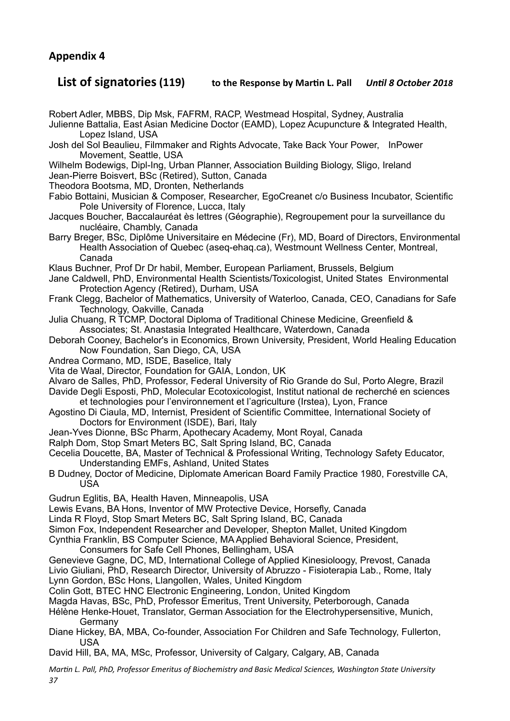## **Appendix 4**

## <span id="page-36-0"></span>**List of signatories (119) to the Response by Martin L. Pall** *Until 8 October 2018*

Robert Adler, MBBS, Dip Msk, FAFRM, RACP, Westmead Hospital, Sydney, Australia

Julienne Battalia, East Asian Medicine Doctor (EAMD), Lopez Acupuncture & Integrated Health, Lopez Island, USA

Josh del Sol Beaulieu, Filmmaker and Rights Advocate, Take Back Your Power, InPower Movement, Seattle, USA

Wilhelm Bodewigs, Dipl-Ing, Urban Planner, Association Building Biology, Sligo, Ireland Jean-Pierre Boisvert, BSc (Retired), Sutton, Canada

Theodora Bootsma, MD, Dronten, Netherlands

Fabio Bottaini, Musician & Composer, Researcher, EgoCreanet c/o Business Incubator, Scientific Pole University of Florence, Lucca, Italy

Jacques Boucher, Baccalauréat ès lettres (Géographie), Regroupement pour la surveillance du nucléaire, Chambly, Canada

Barry Breger, BSc, Diplôme Universitaire en Médecine (Fr), MD, Board of Directors, Environmental Health Association of Quebec (aseq-ehaq.ca), Westmount Wellness Center, Montreal, Canada

Klaus Buchner, Prof Dr Dr habil, Member, European Parliament, Brussels, Belgium

Jane Caldwell, PhD, Environmental Health Scientists/Toxicologist, United States Environmental Protection Agency (Retired), Durham, USA

Frank Clegg, Bachelor of Mathematics, University of Waterloo, Canada, CEO, Canadians for Safe Technology, Oakville, Canada

Julia Chuang, R TCMP, Doctoral Diploma of Traditional Chinese Medicine, Greenfield & Associates; St. Anastasia Integrated Healthcare, Waterdown, Canada

Deborah Cooney, Bachelor's in Economics, Brown University, President, World Healing Education Now Foundation, San Diego, CA, USA

Andrea Cormano, MD, ISDE, Baselice, Italy

Vita de Waal, Director, Foundation for GAIA, London, UK

Alvaro de Salles, PhD, Professor, Federal University of Rio Grande do Sul, Porto Alegre, Brazil

Davide Degli Esposti, PhD, Molecular Ecotoxicologist, Institut national de recherché en sciences et technologies pour l'environnement et l'agriculture (Irstea), Lyon, France

- Agostino Di Ciaula, MD, Internist, President of Scientific Committee, International Society of Doctors for Environment (ISDE), Bari, Italy
- Jean-Yves Dionne, BSc Pharm, Apothecary Academy, Mont Royal, Canada

Ralph Dom, Stop Smart Meters BC, Salt Spring Island, BC, Canada

Cecelia Doucette, BA, Master of Technical & Professional Writing, Technology Safety Educator, Understanding EMFs, Ashland, United States

B Dudney, Doctor of Medicine, Diplomate American Board Family Practice 1980, Forestville CA, USA

Gudrun Eglitis, BA, Health Haven, Minneapolis, USA

Lewis Evans, BA Hons, Inventor of MW Protective Device, Horsefly, Canada

Linda R Floyd, Stop Smart Meters BC, Salt Spring Island, BC, Canada

Simon Fox, Independent Researcher and Developer, Shepton Mallet, United Kingdom

Cynthia Franklin, BS Computer Science, MA Applied Behavioral Science, President,

Consumers for Safe Cell Phones, Bellingham, USA

Genevieve Gagne, DC, MD, International College of Applied Kinesioloogy, Prevost, Canada Livio Giuliani, PhD, Research Director, University of Abruzzo - Fisioterapia Lab., Rome, Italy Lynn Gordon, BSc Hons, Llangollen, Wales, United Kingdom

Colin Gott, BTEC HNC Electronic Engineering, London, United Kingdom

Magda Havas, BSc, PhD, Professor Emeritus, Trent University, Peterborough, Canada

Hélène Henke-Houet, Translator, German Association for the Electrohypersensitive, Munich, Germany

Diane Hickey, BA, MBA, Co-founder, Association For Children and Safe Technology, Fullerton, USA

David Hill, BA, MA, MSc, Professor, University of Calgary, Calgary, AB, Canada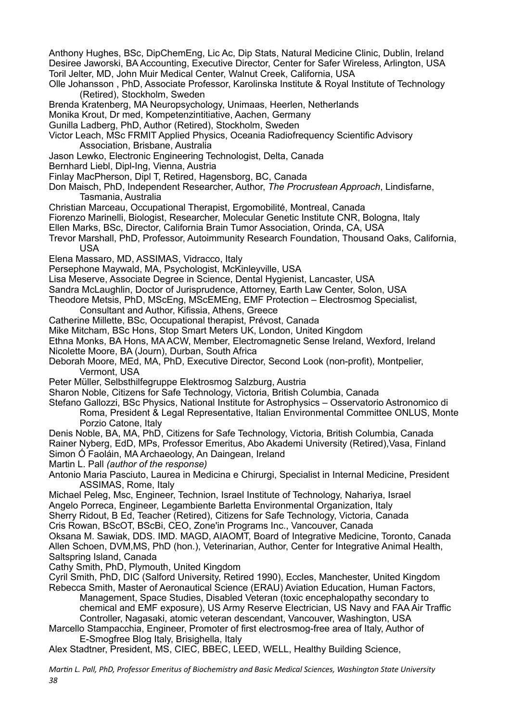Anthony Hughes, BSc, DipChemEng, Lic Ac, Dip Stats, Natural Medicine Clinic, Dublin, Ireland Desiree Jaworski, BA Accounting, Executive Director, Center for Safer Wireless, Arlington, USA Toril Jelter, MD, John Muir Medical Center, Walnut Creek, California, USA

- Olle Johansson , PhD, Associate Professor, Karolinska Institute & Royal Institute of Technology (Retired), Stockholm, Sweden
- Brenda Kratenberg, MA Neuropsychology, Unimaas, Heerlen, Netherlands

Monika Krout, Dr med, Kompetenzintitiative, Aachen, Germany

Gunilla Ladberg, PhD, Author (Retired), Stockholm, Sweden

Victor Leach, MSc FRMIT Applied Physics, Oceania Radiofrequency Scientific Advisory Association, Brisbane, Australia

Jason Lewko, Electronic Engineering Technologist, Delta, Canada

Bernhard Liebl, Dipl-Ing, Vienna, Austria

- Finlay MacPherson, Dipl T, Retired, Hagensborg, BC, Canada
- Don Maisch, PhD, Independent Researcher, Author, *The Procrustean Approach*, Lindisfarne, Tasmania, Australia
- Christian Marceau, Occupational Therapist, Ergomobilité, Montreal, Canada

Fiorenzo Marinelli, Biologist, Researcher, Molecular Genetic Institute CNR, Bologna, Italy

Ellen Marks, BSc, Director, California Brain Tumor Association, Orinda, CA, USA

Trevor Marshall, PhD, Professor, Autoimmunity Research Foundation, Thousand Oaks, California, USA

Elena Massaro, MD, ASSIMAS, Vidracco, Italy

Persephone Maywald, MA, Psychologist, McKinleyville, USA

Lisa Meserve, Associate Degree in Science, Dental Hygienist, Lancaster, USA

Sandra McLaughlin, Doctor of Jurisprudence, Attorney, Earth Law Center, Solon, USA

Theodore Metsis, PhD, MScEng, MScEMEng, EMF Protection – Electrosmog Specialist,

Consultant and Author, Kifissia, Athens, Greece

Catherine Millette, BSc, Occupational therapist, Prévost, Canada

Mike Mitcham, BSc Hons, Stop Smart Meters UK, London, United Kingdom

Ethna Monks, BA Hons, MA ACW, Member, Electromagnetic Sense Ireland, Wexford, Ireland

Nicolette Moore, BA (Journ), Durban, South Africa

Deborah Moore, MEd, MA, PhD, Executive Director, Second Look (non-profit), Montpelier, Vermont, USA

Peter Müller, Selbsthilfegruppe Elektrosmog Salzburg, Austria

Sharon Noble, Citizens for Safe Technology, Victoria, British Columbia, Canada

Stefano Gallozzi, BSc Physics, National Institute for Astrophysics – Osservatorio Astronomico di Roma, President & Legal Representative, Italian Environmental Committee ONLUS, Monte

Porzio Catone, Italy

Denis Noble, BA, MA, PhD, Citizens for Safe Technology, Victoria, British Columbia, Canada Rainer Nyberg, EdD, MPs, Professor Emeritus, Abo Akademi University (Retired),Vasa, Finland Simon Ó Faoláin, MA Archaeology, An Daingean, Ireland

Martin L. Pall *(author of the response)* 

Antonio Maria Pasciuto, Laurea in Medicina e Chirurgi, Specialist in Internal Medicine, President ASSIMAS, Rome, Italy

Michael Peleg, Msc, Engineer, Technion, Israel Institute of Technology, Nahariya, Israel Angelo Porreca, Engineer, Legambiente Barletta Environmental Organization, Italy

Sherry Ridout, B Ed, Teacher (Retired), Citizens for Safe Technology, Victoria, Canada Cris Rowan, BScOT, BScBi, CEO, Zone'in Programs Inc., Vancouver, Canada

Oksana M. Sawiak, DDS. IMD. MAGD, AIAOMT, Board of Integrative Medicine, Toronto, Canada Allen Schoen, DVM,MS, PhD (hon.), Veterinarian, Author, Center for Integrative Animal Health, Saltspring Island, Canada

Cathy Smith, PhD, Plymouth, United Kingdom

Cyril Smith, PhD, DIC (Salford University, Retired 1990), Eccles, Manchester, United Kingdom Rebecca Smith, Master of Aeronautical Science (ERAU) Aviation Education, Human Factors,

 Management, Space Studies, Disabled Veteran (toxic encephalopathy secondary to chemical and EMF exposure), US Army Reserve Electrician, US Navy and FAA Air Traffic

 Controller, Nagasaki, atomic veteran descendant, Vancouver, Washington, USA Marcello Stampacchia, Engineer, Promoter of first electrosmog-free area of Italy, Author of E-Smogfree Blog Italy, Brisighella, Italy

Alex Stadtner, President, MS, CIEC, BBEC, LEED, WELL, Healthy Building Science,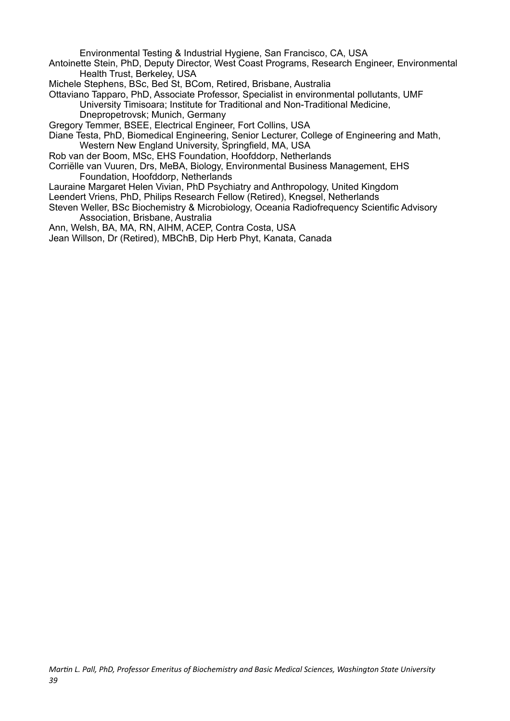Environmental Testing & Industrial Hygiene, San Francisco, CA, USA

- Antoinette Stein, PhD, Deputy Director, West Coast Programs, Research Engineer, Environmental Health Trust, Berkeley, USA
- Michele Stephens, BSc, Bed St, BCom, Retired, Brisbane, Australia

Ottaviano Tapparo, PhD, Associate Professor, Specialist in environmental pollutants, UMF University Timisoara; Institute for Traditional and Non-Traditional Medicine, Dnepropetrovsk; Munich, Germany

Gregory Temmer, BSEE, Electrical Engineer, Fort Collins, USA

Diane Testa, PhD, Biomedical Engineering, Senior Lecturer, College of Engineering and Math, Western New England University, Springfield, MA, USA

Rob van der Boom, MSc, EHS Foundation, Hoofddorp, Netherlands

- Corriëlle van Vuuren, Drs, MeBA, Biology, Environmental Business Management, EHS Foundation, Hoofddorp, Netherlands
- Lauraine Margaret Helen Vivian, PhD Psychiatry and Anthropology, United Kingdom

Leendert Vriens, PhD, Philips Research Fellow (Retired), Knegsel, Netherlands

Steven Weller, BSc Biochemistry & Microbiology, Oceania Radiofrequency Scientific Advisory Association, Brisbane, Australia

Ann, Welsh, BA, MA, RN, AIHM, ACEP, Contra Costa, USA

Jean Willson, Dr (Retired), MBChB, Dip Herb Phyt, Kanata, Canada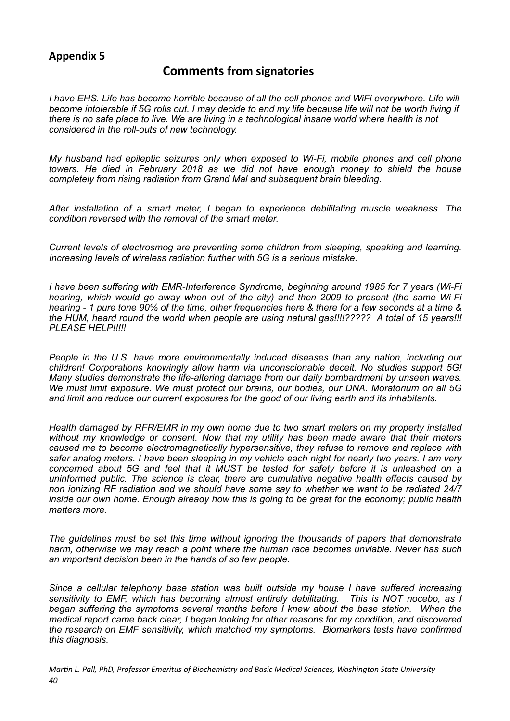## **Appendix 5**

### <span id="page-39-0"></span>**Comments from signatories**

*I* have EHS. Life has become horrible because of all the cell phones and WiFi everywhere. Life will *become intolerable if 5G rolls out. I may decide to end my life because life will not be worth living if there is no safe place to live. We are living in a technological insane world where health is not considered in the roll-outs of new technology.* 

*My husband had epileptic seizures only when exposed to Wi-Fi, mobile phones and cell phone towers. He died in February 2018 as we did not have enough money to shield the house completely from rising radiation from Grand Mal and subsequent brain bleeding.* 

*After installation of a smart meter, I began to experience debilitating muscle weakness. The condition reversed with the removal of the smart meter.* 

*Current levels of electrosmog are preventing some children from sleeping, speaking and learning. Increasing levels of wireless radiation further with 5G is a serious mistake.* 

*I have been suffering with EMR-Interference Syndrome, beginning around 1985 for 7 years (Wi-Fi hearing, which would go away when out of the city) and then 2009 to present (the same Wi-Fi hearing - 1 pure tone 90% of the time, other frequencies here & there for a few seconds at a time & the HUM, heard round the world when people are using natural gas!!!!????? A total of 15 years!!! PLEASE HELP!!!!!* 

*People in the U.S. have more environmentally induced diseases than any nation, including our children! Corporations knowingly allow harm via unconscionable deceit. No studies support 5G! Many studies demonstrate the life-altering damage from our daily bombardment by unseen waves. We must limit exposure. We must protect our brains, our bodies, our DNA. Moratorium on all 5G and limit and reduce our current exposures for the good of our living earth and its inhabitants.* 

*Health damaged by RFR/EMR in my own home due to two smart meters on my property installed without my knowledge or consent. Now that my utility has been made aware that their meters caused me to become electromagnetically hypersensitive, they refuse to remove and replace with safer analog meters. I have been sleeping in my vehicle each night for nearly two years. I am very concerned about 5G and feel that it MUST be tested for safety before it is unleashed on a uninformed public. The science is clear, there are cumulative negative health effects caused by non ionizing RF radiation and we should have some say to whether we want to be radiated 24/7 inside our own home. Enough already how this is going to be great for the economy; public health matters more.* 

*The guidelines must be set this time without ignoring the thousands of papers that demonstrate harm, otherwise we may reach a point where the human race becomes unviable. Never has such an important decision been in the hands of so few people.* 

*Since a cellular telephony base station was built outside my house I have suffered increasing sensitivity to EMF, which has becoming almost entirely debilitating. This is NOT nocebo, as I began suffering the symptoms several months before I knew about the base station. When the medical report came back clear, I began looking for other reasons for my condition, and discovered the research on EMF sensitivity, which matched my symptoms. Biomarkers tests have confirmed this diagnosis.*